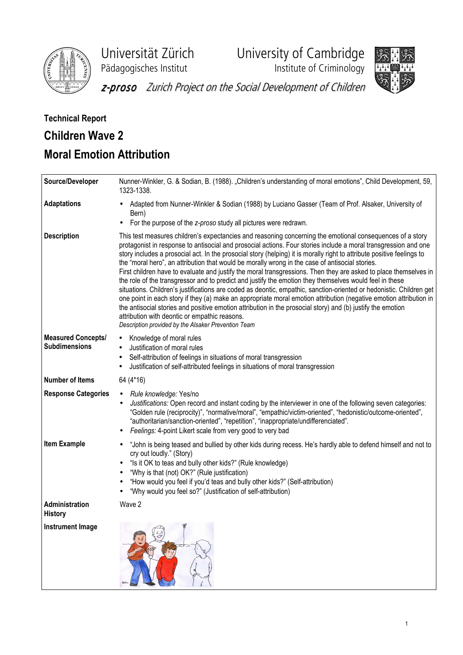

Universität Zürich University of Cambridge

Pädagogisches Institut **Institute of Criminology** 



z-proso Zurich Project on the Social Development of Children

# Technical Report Children Wave 2 Moral Emotion Attribution

| Source/Developer                                  | Nunner-Winkler, G. & Sodian, B. (1988). "Children's understanding of moral emotions", Child Development, 59,<br>1323-1338.                                                                                                                                                                                                                                                                                                                                                                                                                                                                                                                                                                                                                                                                                                                                                                                                                                                                                                                                                                                                                                   |
|---------------------------------------------------|--------------------------------------------------------------------------------------------------------------------------------------------------------------------------------------------------------------------------------------------------------------------------------------------------------------------------------------------------------------------------------------------------------------------------------------------------------------------------------------------------------------------------------------------------------------------------------------------------------------------------------------------------------------------------------------------------------------------------------------------------------------------------------------------------------------------------------------------------------------------------------------------------------------------------------------------------------------------------------------------------------------------------------------------------------------------------------------------------------------------------------------------------------------|
| <b>Adaptations</b>                                | Adapted from Nunner-Winkler & Sodian (1988) by Luciano Gasser (Team of Prof. Alsaker, University of<br>Bern)<br>For the purpose of the z-proso study all pictures were redrawn.                                                                                                                                                                                                                                                                                                                                                                                                                                                                                                                                                                                                                                                                                                                                                                                                                                                                                                                                                                              |
| <b>Description</b>                                | This test measures children's expectancies and reasoning concerning the emotional consequences of a story<br>protagonist in response to antisocial and prosocial actions. Four stories include a moral transgression and one<br>story includes a prosocial act. In the prosocial story (helping) it is morally right to attribute positive feelings to<br>the "moral hero", an attribution that would be morally wrong in the case of antisocial stories.<br>First children have to evaluate and justify the moral transgressions. Then they are asked to place themselves in<br>the role of the transgressor and to predict and justify the emotion they themselves would feel in these<br>situations. Children's justifications are coded as deontic, empathic, sanction-oriented or hedonistic. Children get<br>one point in each story if they (a) make an appropriate moral emotion attribution (negative emotion attribution in<br>the antisocial stories and positive emotion attribution in the prosocial story) and (b) justify the emotion<br>attribution with deontic or empathic reasons.<br>Description provided by the Alsaker Prevention Team |
| <b>Measured Concepts/</b><br><b>Subdimensions</b> | Knowledge of moral rules<br>$\bullet$<br>Justification of moral rules<br>Self-attribution of feelings in situations of moral transgression<br>Justification of self-attributed feelings in situations of moral transgression                                                                                                                                                                                                                                                                                                                                                                                                                                                                                                                                                                                                                                                                                                                                                                                                                                                                                                                                 |
| <b>Number of Items</b>                            | 64 (4*16)                                                                                                                                                                                                                                                                                                                                                                                                                                                                                                                                                                                                                                                                                                                                                                                                                                                                                                                                                                                                                                                                                                                                                    |
| <b>Response Categories</b>                        | Rule knowledge: Yes/no<br>Justifications: Open record and instant coding by the interviewer in one of the following seven categories:<br>"Golden rule (reciprocity)", "normative/moral", "empathic/victim-oriented", "hedonistic/outcome-oriented",<br>"authoritarian/sanction-oriented", "repetition", "inappropriate/undifferenciated".<br>Feelings: 4-point Likert scale from very good to very bad                                                                                                                                                                                                                                                                                                                                                                                                                                                                                                                                                                                                                                                                                                                                                       |
| <b>Item Example</b>                               | "John is being teased and bullied by other kids during recess. He's hardly able to defend himself and not to<br>$\bullet$<br>cry out loudly." (Story)<br>"Is it OK to teas and bully other kids?" (Rule knowledge)<br>٠<br>"Why is that (not) OK?" (Rule justification)<br>$\bullet$<br>"How would you feel if you'd teas and bully other kids?" (Self-attribution)<br>"Why would you feel so?" (Justification of self-attribution)                                                                                                                                                                                                                                                                                                                                                                                                                                                                                                                                                                                                                                                                                                                          |
| Administration<br><b>History</b>                  | Wave 2                                                                                                                                                                                                                                                                                                                                                                                                                                                                                                                                                                                                                                                                                                                                                                                                                                                                                                                                                                                                                                                                                                                                                       |
| <b>Instrument Image</b>                           |                                                                                                                                                                                                                                                                                                                                                                                                                                                                                                                                                                                                                                                                                                                                                                                                                                                                                                                                                                                                                                                                                                                                                              |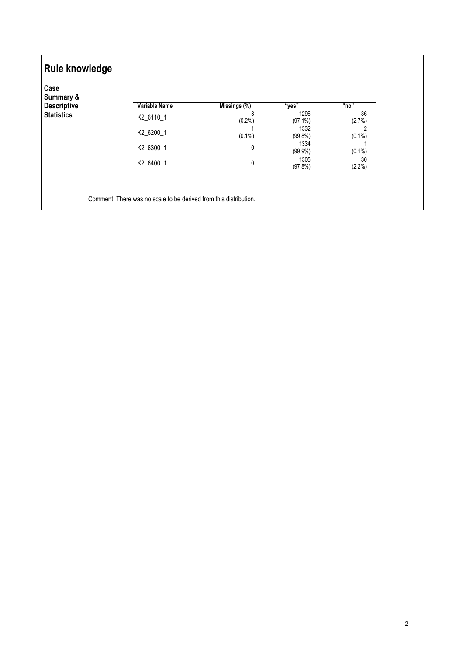| Case<br>Summary &  |                      |                                    |                    |                 |
|--------------------|----------------------|------------------------------------|--------------------|-----------------|
| <b>Descriptive</b> | <b>Variable Name</b> | $\overline{\mathsf{Missings}}$ (%) | "ves"              | "no"            |
| <b>Statistics</b>  | K2_6110_1            | 3<br>(0.2%                         | 1296<br>$(97.1\%)$ | 36<br>(2.7%)    |
|                    | K2_6200_1            | $(0.1\%)$                          | 1332<br>$(99.8\%)$ | 2<br>$(0.1\%)$  |
|                    | K2_6300_1            | $\mathbf{0}$                       | 1334<br>$(99.9\%)$ | $(0.1\%)$       |
|                    | K2_6400_1            | $\mathbf 0$                        | 1305<br>(97.8%)    | 30<br>$(2.2\%)$ |
|                    |                      |                                    |                    |                 |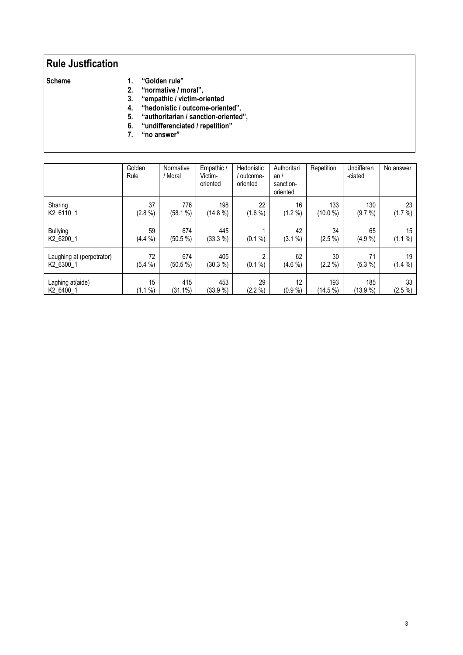## Rule Justfication

- 
- Scheme 1. "Golden rule"<br>2. "normative / m
	- 2. "normative / moral",<br>3. "empathic / victim-or 3. "empathic / victim-oriented
	- 4. "hedonistic / outcome-oriented",
	- 5. "authoritarian / sanction-oriented",
	- 6. "undifferenciated / repetition"
	- 7. "no answer"

|                                        | Golden<br>Rule   | Normative<br>/ Moral | Empathic /<br>Victim-<br>oriented | Hedonistic<br>outcome-<br>oriented | Authoritari<br>an/<br>sanction-<br>oriented | Repetition        | Undifferen<br>-ciated | No answer       |
|----------------------------------------|------------------|----------------------|-----------------------------------|------------------------------------|---------------------------------------------|-------------------|-----------------------|-----------------|
| Sharing<br>K2 6110 1                   | 37<br>$(2.8\%)$  | 776<br>(58.1 %)      | 198<br>(14.8 %)                   | 22<br>$(1.6\%)$                    | 16<br>(1.2 %)                               | 133<br>(10.0 %)   | 130<br>(9.7 %)        | 23<br>(1.7 %)   |
| <b>Bullying</b><br>K2 6200 1           | 59<br>(4.4 %)    | 674<br>(50.5 %)      | 445<br>(33.3 %)                   | %<br>(0.1)                         | 42<br>(3.1 %)                               | 34<br>$(2.5\%)$   | 65<br>(4.9%           | 15<br>(1.1 %)   |
| Laughing at (perpetrator)<br>K2 6300 1 | 72<br>(5.4 %)    | 674<br>(50.5 %)      | 405<br>(30.3 %)                   | $\overline{2}$<br>%<br>(0.1)       | 62<br>$(4.6\% )$                            | 30<br>(2.2 %)     | 71<br>(5.3 %)         | 19<br>(1.4 %)   |
| Laghing at(aide)<br>K2 6400 1          | 15<br>%<br>(1.1) | 415<br>$(31.1\%)$    | 453<br>(33.9%                     | 29<br>(2.2 %)                      | 12<br>$(0.9\% )$                            | 193<br>$(14.5\%)$ | 185<br>(13.9%         | 33<br>$(2.5\%)$ |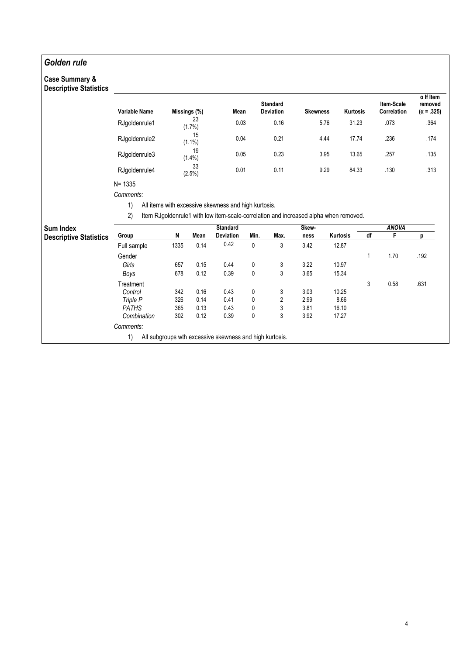### Golden rule

#### Case Summary & Descriptive Statistics

| Variable Name | Missings (%)    | Mean | <b>Standard</b><br><b>Deviation</b> | <b>Skewness</b> | Kurtosis | <b>Item-Scale</b><br>Correlation | $\alpha$ If Item<br>removed<br>$(\alpha = .325)$ |
|---------------|-----------------|------|-------------------------------------|-----------------|----------|----------------------------------|--------------------------------------------------|
| RJgoldenrule1 | 23<br>$(1.7\%)$ | 0.03 | 0.16                                | 5.76            | 31.23    | .073                             | .364                                             |
| RJgoldenrule2 | 15<br>$(1.1\%)$ | 0.04 | 0.21                                | 4.44            | 17.74    | .236                             | .174                                             |
| RJgoldenrule3 | 19<br>$(1.4\%)$ | 0.05 | 0.23                                | 3.95            | 13.65    | .257                             | .135                                             |
| RJqoldenrule4 | 33<br>(2.5%)    | 0.01 | 0.11                                | 9.29            | 84.33    | .130                             | .313                                             |
| $N = 1335$    |                 |      |                                     |                 |          |                                  |                                                  |

Comments:

1) All items with excessive skewness and high kurtosis.

2) Item RJgoldenrule1 with low item-scale-correlation and increased alpha when removed.

| <b>Sum Index</b>              |              |      |      | <b>Standard</b>                                         |      |      | Skew- |          |    | <b>ANOVA</b> |      |
|-------------------------------|--------------|------|------|---------------------------------------------------------|------|------|-------|----------|----|--------------|------|
| <b>Descriptive Statistics</b> | Group        | N    | Mean | <b>Deviation</b>                                        | Min. | Max. | ness  | Kurtosis | df |              |      |
|                               | Full sample  | 1335 | 0.14 | 0.42                                                    | 0    | 3    | 3.42  | 12.87    |    |              |      |
|                               | Gender       |      |      |                                                         |      |      |       |          |    | 1.70         | .192 |
|                               | Girls        | 657  | 0.15 | 0.44                                                    | 0    | 3    | 3.22  | 10.97    |    |              |      |
|                               | Boys         | 678  | 0.12 | 0.39                                                    | 0    | 3    | 3.65  | 15.34    |    |              |      |
|                               | Treatment    |      |      |                                                         |      |      |       |          | 3  | 0.58         | .631 |
|                               | Control      | 342  | 0.16 | 0.43                                                    | 0    | 3    | 3.03  | 10.25    |    |              |      |
|                               | Triple P     | 326  | 0.14 | 0.41                                                    | 0    | 2    | 2.99  | 8.66     |    |              |      |
|                               | <b>PATHS</b> | 365  | 0.13 | 0.43                                                    | 0    | 3    | 3.81  | 16.10    |    |              |      |
|                               | Combination  | 302  | 0.12 | 0.39                                                    | 0    | 3    | 3.92  | 17.27    |    |              |      |
|                               | Comments:    |      |      |                                                         |      |      |       |          |    |              |      |
|                               | 1)           |      |      | All subgroups wth excessive skewness and high kurtosis. |      |      |       |          |    |              |      |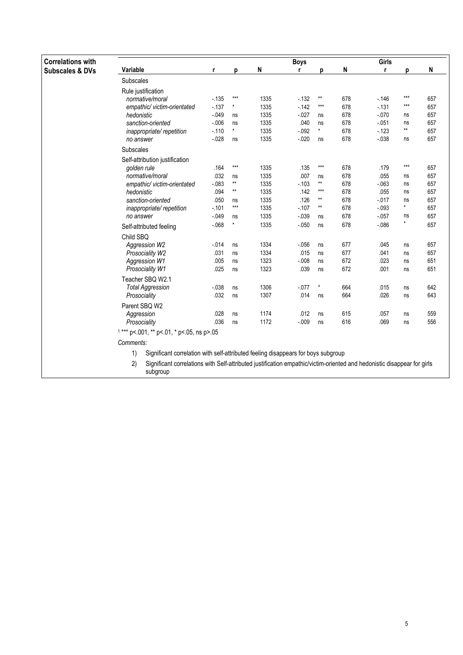| <b>Correlations with</b>   |                                                                                         |          |                 |                                                                                                                                                                                                                                   | <b>Boys</b> |                 |     | Girls    |         |     |
|----------------------------|-----------------------------------------------------------------------------------------|----------|-----------------|-----------------------------------------------------------------------------------------------------------------------------------------------------------------------------------------------------------------------------------|-------------|-----------------|-----|----------|---------|-----|
| <b>Subscales &amp; DVs</b> | Variable                                                                                | r        | n               | N                                                                                                                                                                                                                                 | r           | р               | N   | r        | n       | N   |
|                            | Subscales                                                                               |          |                 |                                                                                                                                                                                                                                   |             |                 |     |          |         |     |
|                            | Rule justification                                                                      |          |                 |                                                                                                                                                                                                                                   |             |                 |     |          |         |     |
|                            | normative/moral                                                                         | $-135$   | $***$           | 1335                                                                                                                                                                                                                              | $-132$      | $^{\star\star}$ | 678 | $-146$   | ***     | 657 |
|                            | empathic/victim-orientated                                                              | $-137$   | $\star$         | 1335                                                                                                                                                                                                                              | $-142$      | $***$           | 678 | $-131$   | $***$   | 657 |
|                            | hedonistic                                                                              | $-049$   | ns              | 1335                                                                                                                                                                                                                              | $-0.027$    | ns              | 678 | $-070$   | ns      | 657 |
|                            | sanction-oriented                                                                       | $-006$   | ns              | 1335                                                                                                                                                                                                                              | .040        | ns              | 678 | $-051$   | ns      | 657 |
|                            | inappropriate/repetition                                                                | $-110$   | $\star$         | 1335                                                                                                                                                                                                                              | $-0.92$     | $\star$         | 678 | $-123$   | **      | 657 |
|                            | no answer                                                                               | $-0.028$ | ns              | 1335                                                                                                                                                                                                                              | $-0.020$    | ns              | 678 | $-0.38$  | ns      | 657 |
|                            | Subscales                                                                               |          |                 |                                                                                                                                                                                                                                   |             |                 |     |          |         |     |
|                            | Self-attribution justification                                                          |          |                 |                                                                                                                                                                                                                                   |             |                 |     |          |         |     |
|                            | golden rule                                                                             | .164     | $***$           | 1335                                                                                                                                                                                                                              | .135        | $***$           | 678 | .179     | $***$   | 657 |
|                            | normative/moral                                                                         | .032     | ns              | 1335                                                                                                                                                                                                                              | .007        | ns              | 678 | .055     | ns      | 657 |
|                            | empathic/victim-orientated                                                              | $-083$   | $\star\star$    | 1335                                                                                                                                                                                                                              | $-103$      | $^{\star\star}$ | 678 | $-063$   | ns      | 657 |
|                            | hedonistic                                                                              | .094     | $^{\star\star}$ | 1335                                                                                                                                                                                                                              | .142        | $***$           | 678 | .055     | ns      | 657 |
|                            | sanction-oriented                                                                       | .050     | ns              | 1335                                                                                                                                                                                                                              | .126        | $\star\star$    | 678 | $-0.017$ | ns      | 657 |
|                            | inappropriate/repetition                                                                | $-101$   | $***$           | 1335                                                                                                                                                                                                                              | $-107$      | $\star\star$    | 678 | $-0.093$ | $\star$ | 657 |
|                            | no answer                                                                               | $-0.049$ | ns              | 1335                                                                                                                                                                                                                              | $-0.39$     | ns              | 678 | $-0.057$ | ns      | 657 |
|                            | Self-attributed feeling                                                                 | $-068$   | $\star$         | 1335                                                                                                                                                                                                                              | $-0.050$    | ns              | 678 | $-0.86$  | $\star$ | 657 |
|                            | Child SBQ                                                                               |          |                 |                                                                                                                                                                                                                                   |             |                 |     |          |         |     |
|                            | Aggression W2                                                                           | $-014$   | ns              | 1334                                                                                                                                                                                                                              | $-0.056$    | ns              | 677 | .045     | ns      | 657 |
|                            | Prosociality W2                                                                         | .031     | ns              | 1334                                                                                                                                                                                                                              | .015        | ns              | 677 | .041     | ns      | 657 |
|                            | <b>Aggression W1</b>                                                                    | .005     | ns              | 1323                                                                                                                                                                                                                              | $-008$      | ns              | 672 | .023     | ns      | 651 |
|                            | Prosociality W1                                                                         | .025     | ns              | 1323                                                                                                                                                                                                                              | .039        | ns              | 672 | .001     | ns      | 651 |
|                            | Teacher SBQ W2.1                                                                        |          |                 |                                                                                                                                                                                                                                   |             |                 |     |          |         |     |
|                            | <b>Total Aggression</b>                                                                 | $-038$   | ns              | 1306                                                                                                                                                                                                                              | $-0.077$    | $\star$         | 664 | .015     | ns      | 642 |
|                            | Prosociality                                                                            | .032     | ns              | 1307                                                                                                                                                                                                                              | .014        | ns              | 664 | .026     | ns      | 643 |
|                            | Parent SBQ W2                                                                           |          |                 |                                                                                                                                                                                                                                   |             |                 |     |          |         |     |
|                            | Aggression                                                                              | .028     | ns              | 1174                                                                                                                                                                                                                              | .012        | ns              | 615 | .057     | ns      | 559 |
|                            | Prosociality                                                                            | .036     | ns              | 1172                                                                                                                                                                                                                              | $-009$      | ns              | 616 | .069     | ns      | 556 |
|                            | $1***$ p<.001, ** p<.01, * p<.05, ns p>.05                                              |          |                 |                                                                                                                                                                                                                                   |             |                 |     |          |         |     |
|                            | Comments:                                                                               |          |                 |                                                                                                                                                                                                                                   |             |                 |     |          |         |     |
|                            | 1)<br>Significant correlation with self-attributed feeling disappears for boys subgroup |          |                 |                                                                                                                                                                                                                                   |             |                 |     |          |         |     |
|                            |                                                                                         |          |                 | $\mathbf{r}$ . The contract of the contract of the contract of the contract of the contract of the contract of the contract of the contract of the contract of the contract of the contract of the contract of the contract of th |             |                 |     |          |         |     |

Significant correlations with Self-attributed justification empathic/victim-oriented and hedonistic disappear for girls<br>subgroup  $2)$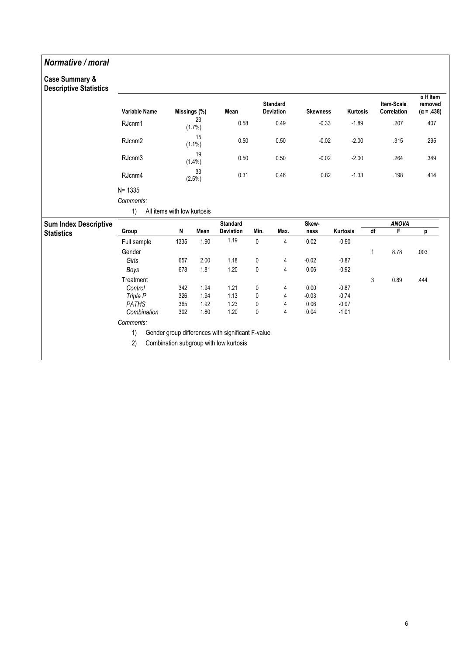### Normative / moral

# Case Summary &

| <b>Descriptive Statistics</b> | <b>Variable Name</b> | Missings (%)                |                 | Mean                                                                                        |      | <b>Standard</b><br><b>Deviation</b> | <b>Skewness</b> | Kurtosis |    | Item-Scale<br>Correlation | $\alpha$ If Item<br>removed<br>$(\alpha = .438)$ |
|-------------------------------|----------------------|-----------------------------|-----------------|---------------------------------------------------------------------------------------------|------|-------------------------------------|-----------------|----------|----|---------------------------|--------------------------------------------------|
|                               | RJcnm1               |                             | 23<br>(1.7%)    | 0.58                                                                                        |      | 0.49                                | $-0.33$         | $-1.89$  |    | .207                      | .407                                             |
|                               | RJcnm <sub>2</sub>   |                             | 15<br>$(1.1\%)$ | 0.50                                                                                        |      | 0.50                                | $-0.02$         | $-2.00$  |    | .315                      | .295                                             |
|                               | RJcnm3               |                             | 19<br>$(1.4\%)$ | 0.50                                                                                        |      | 0.50                                | $-0.02$         | $-2.00$  |    | .264                      | .349                                             |
|                               | RJcnm4               |                             | 33<br>(2.5%)    | 0.31                                                                                        |      | 0.46                                | 0.82            | $-1.33$  |    | .198                      | .414                                             |
|                               | $N = 1335$           |                             |                 |                                                                                             |      |                                     |                 |          |    |                           |                                                  |
|                               | Comments:            |                             |                 |                                                                                             |      |                                     |                 |          |    |                           |                                                  |
|                               | 1)                   | All items with low kurtosis |                 |                                                                                             |      |                                     |                 |          |    |                           |                                                  |
| <b>Sum Index Descriptive</b>  |                      |                             |                 | <b>Standard</b>                                                                             |      |                                     | Skew-           |          |    | <b>ANOVA</b>              |                                                  |
| <b>Statistics</b>             | Group                | N                           | Mean            | Deviation                                                                                   | Min. | Max.                                | ness            | Kurtosis | df | F                         | p                                                |
|                               | Full sample          | 1335                        | 1.90            | 1.19                                                                                        | 0    | 4                                   | 0.02            | $-0.90$  |    |                           |                                                  |
|                               | Gender               |                             |                 |                                                                                             |      |                                     |                 |          | 1  | 8.78                      | .003                                             |
|                               | Girls                | 657                         | 2.00            | 1.18                                                                                        | 0    | 4                                   | $-0.02$         | $-0.87$  |    |                           |                                                  |
|                               | Boys                 | 678                         | 1.81            | 1.20                                                                                        | 0    | 4                                   | 0.06            | $-0.92$  |    |                           |                                                  |
|                               | Treatment            |                             |                 |                                                                                             |      |                                     |                 |          | 3  | 0.89                      | .444                                             |
|                               | Control              | 342                         | 1.94            | 1.21                                                                                        | 0    | 4                                   | 0.00            | $-0.87$  |    |                           |                                                  |
|                               | Triple P             | 326                         | 1.94            | 1.13                                                                                        | 0    | 4                                   | $-0.03$         | $-0.74$  |    |                           |                                                  |
|                               | <b>PATHS</b>         | 365                         | 1.92            | 1.23                                                                                        | 0    | 4                                   | 0.06            | $-0.97$  |    |                           |                                                  |
|                               | Combination          | 302                         | 1.80            | 1.20                                                                                        | 0    | 4                                   | 0.04            | $-1.01$  |    |                           |                                                  |
|                               | Comments:            |                             |                 |                                                                                             |      |                                     |                 |          |    |                           |                                                  |
|                               | 1)<br>2)             |                             |                 | Gender group differences with significant F-value<br>Combination subgroup with low kurtosis |      |                                     |                 |          |    |                           |                                                  |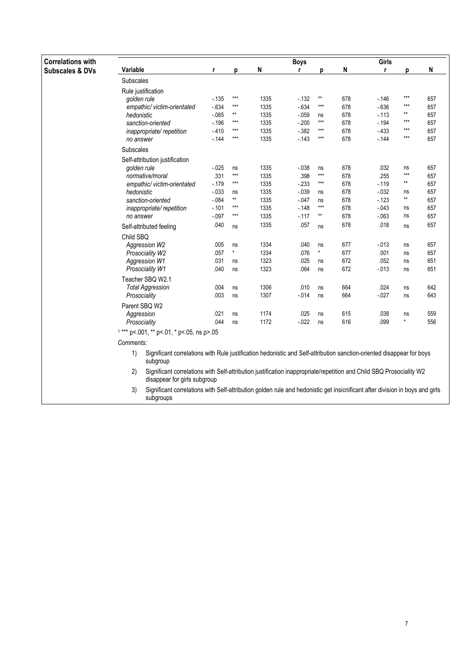| <b>Correlations with</b>   |                                                                                                                                                           |          |                   |      | <b>Boys</b> |              |     | Girls    |                 |     |
|----------------------------|-----------------------------------------------------------------------------------------------------------------------------------------------------------|----------|-------------------|------|-------------|--------------|-----|----------|-----------------|-----|
| <b>Subscales &amp; DVs</b> | Variable                                                                                                                                                  | r        | p                 | N    | r.          | p            | N   | r        | p               | N   |
|                            | Subscales                                                                                                                                                 |          |                   |      |             |              |     |          |                 |     |
|                            | Rule justification                                                                                                                                        |          |                   |      |             |              |     |          |                 |     |
|                            | golden rule                                                                                                                                               | $-135$   | $***$             | 1335 | $-132$      | $\star\star$ | 678 | $-146$   | $***$           | 657 |
|                            | empathic/ victim-orientated                                                                                                                               | $-634$   | $***$             | 1335 | $-634$      | $***$        | 678 | $-636$   | $***$           | 657 |
|                            | hedonistic                                                                                                                                                | $-0.085$ | $\star\star$      | 1335 | $-0.059$    | ns           | 678 | $-113$   | $**$            | 657 |
|                            | sanction-oriented                                                                                                                                         | $-196$   | $***$             | 1335 | $-200$      | $***$        | 678 | $-194$   | $***$           | 657 |
|                            | inappropriate/repetition                                                                                                                                  | $-410$   | $\star\star\star$ | 1335 | $-382$      | ***          | 678 | $-433$   | $***$           | 657 |
|                            | no answer                                                                                                                                                 | $-144$   | $\star\star\star$ | 1335 | $-143$      | $***$        | 678 | $-144$   | $***$           | 657 |
|                            | Subscales                                                                                                                                                 |          |                   |      |             |              |     |          |                 |     |
|                            | Self-attribution justification                                                                                                                            |          |                   |      |             |              |     |          |                 |     |
|                            | golden rule                                                                                                                                               | $-025$   | ns                | 1335 | $-0.38$     | ns           | 678 | .032     | ns              | 657 |
|                            | normative/moral                                                                                                                                           | .331     | $***$             | 1335 | .398        | $***$        | 678 | .255     | $***$           | 657 |
|                            | empathic/victim-orientated                                                                                                                                | $-179$   | $\star\star\star$ | 1335 | $-233$      | $***$        | 678 | $-119$   | $^{\star\star}$ | 657 |
|                            | hedonistic                                                                                                                                                | $-0.33$  | ns                | 1335 | $-0.39$     | ns           | 678 | $-0.032$ | ns              | 657 |
|                            | sanction-oriented                                                                                                                                         | $-0.084$ | $^{\star\star}$   | 1335 | $-047$      | ns           | 678 | $-123$   | $^{\star\star}$ | 657 |
|                            | inappropriate/repetition                                                                                                                                  | $-101$   | $\star\star\star$ | 1335 | $-148$      | $***$        | 678 | $-043$   | ns              | 657 |
|                            | no answer                                                                                                                                                 | $-0.097$ | $***$             | 1335 | $-117$      | **           | 678 | $-063$   | ns              | 657 |
|                            | Self-attributed feeling                                                                                                                                   | .040     | ns                | 1335 | .057        | ns           | 678 | .018     | ns              | 657 |
|                            | Child SBQ                                                                                                                                                 |          |                   |      |             |              |     |          |                 |     |
|                            | Aggression W2                                                                                                                                             | .005     | ns                | 1334 | .040        | ns           | 677 | $-013$   | ns              | 657 |
|                            | Prosociality W2                                                                                                                                           | .057     | $\star$           | 1334 | .076        | $\star$      | 677 | .001     | ns              | 657 |
|                            | Aggression W1                                                                                                                                             | .031     | ns                | 1323 | .025        | ns           | 672 | .052     | ns              | 651 |
|                            | Prosociality W1                                                                                                                                           | .040     | ns                | 1323 | .064        | ns           | 672 | $-013$   | ns              | 651 |
|                            | Teacher SBQ W2.1                                                                                                                                          |          |                   |      |             |              |     |          |                 |     |
|                            | <b>Total Aggression</b>                                                                                                                                   | .004     | ns                | 1306 | .010        | ns           | 664 | .024     | ns              | 642 |
|                            | Prosociality                                                                                                                                              | .003     | ns                | 1307 | $-0.14$     | ns           | 664 | $-0.027$ | ns              | 643 |
|                            | Parent SBQ W2                                                                                                                                             |          |                   |      |             |              |     |          |                 |     |
|                            | Aggression                                                                                                                                                | .021     | ns                | 1174 | .025        | ns           | 615 | .038     | ns              | 559 |
|                            | Prosociality                                                                                                                                              | .044     | ns                | 1172 | $-0.022$    | ns           | 616 | .099     | $\star$         | 556 |
|                            | $1***$ p <. 001, ** p <. 01, * p <. 05, ns p >. 05                                                                                                        |          |                   |      |             |              |     |          |                 |     |
|                            | Comments:                                                                                                                                                 |          |                   |      |             |              |     |          |                 |     |
|                            | Significant correlations with Rule justification hedonistic and Self-attribution sanction-oriented disappear for boys<br>1)                               |          |                   |      |             |              |     |          |                 |     |
|                            | subgroup                                                                                                                                                  |          |                   |      |             |              |     |          |                 |     |
|                            | 2)<br>Significant correlations with Self-attribution justification inappropriate/repetition and Child SBQ Prosociality W2<br>disappear for girls subgroup |          |                   |      |             |              |     |          |                 |     |
|                            | Significant correlations with Self-attribution golden rule and hedonistic get insicnificant after division in boys and girls<br>3)<br>subgroups           |          |                   |      |             |              |     |          |                 |     |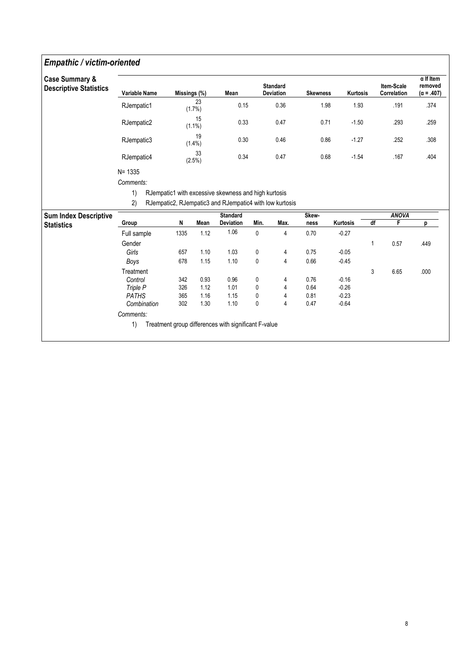### Empathic / victim-oriented

| <b>Descriptive Statistics</b> | <b>Variable Name</b> | Missings (%) |                 | Mean                                                    |           | <b>Standard</b><br><b>Deviation</b> | <b>Skewness</b> | <b>Kurtosis</b> | Item-Scale<br>Correlation | $\alpha$ If Item<br>removed<br>$(\alpha = .407)$ |
|-------------------------------|----------------------|--------------|-----------------|---------------------------------------------------------|-----------|-------------------------------------|-----------------|-----------------|---------------------------|--------------------------------------------------|
|                               | RJempatic1           |              | 23<br>$(1.7\%)$ | 0.15                                                    |           | 0.36                                | 1.98            | 1.93            | .191                      | .374                                             |
|                               | RJempatic2           |              | 15<br>$(1.1\%)$ | 0.33                                                    |           | 0.47                                | 0.71            | $-1.50$         | .293                      | .259                                             |
|                               | RJempatic3           |              | 19<br>$(1.4\%)$ | 0.30                                                    |           | 0.46                                | 0.86            | $-1.27$         | .252                      | .308                                             |
|                               | RJempatic4           |              | 33<br>(2.5%)    | 0.34                                                    |           | 0.47                                | 0.68            | $-1.54$         | .167                      | .404                                             |
|                               | $N = 1335$           |              |                 |                                                         |           |                                     |                 |                 |                           |                                                  |
|                               | Comments:            |              |                 |                                                         |           |                                     |                 |                 |                           |                                                  |
|                               | 1)                   |              |                 | RJempatic1 with excessive skewness and high kurtosis    |           |                                     |                 |                 |                           |                                                  |
|                               | 2)                   |              |                 | RJempatic2, RJempatic3 and RJempatic4 with low kurtosis |           |                                     |                 |                 |                           |                                                  |
|                               |                      |              |                 |                                                         |           |                                     |                 |                 |                           |                                                  |
| <b>Sum Index Descriptive</b>  |                      | N            | Mean            | <b>Standard</b>                                         |           |                                     | <b>Skew</b>     |                 | <b>ANOVA</b>              |                                                  |
| <b>Statistics</b>             | Group                |              |                 |                                                         |           |                                     |                 |                 |                           |                                                  |
|                               |                      |              |                 | <b>Deviation</b>                                        | Min.      | Max.                                | ness            | Kurtosis        | df<br>F                   | D                                                |
|                               | Full sample          | 1335         | 1.12            | 1.06                                                    | 0         | 4                                   | 0.70            | $-0.27$         |                           |                                                  |
|                               | Gender               |              |                 |                                                         |           |                                     |                 |                 | 0.57<br>1                 | .449                                             |
|                               | Girls                | 657          | 1.10            | 1.03                                                    | 0         | 4                                   | 0.75            | $-0.05$         |                           |                                                  |
|                               | Boys                 | 678          | 1.15            | 1.10                                                    | $\pmb{0}$ | $\overline{4}$                      | 0.66            | $-0.45$         |                           |                                                  |
|                               | Treatment            |              |                 |                                                         |           |                                     |                 |                 | 3<br>6.65                 | .000                                             |
|                               | Control              | 342          | 0.93            | 0.96                                                    | 0         | 4                                   | 0.76            | $-0.16$         |                           |                                                  |
|                               | Triple P             | 326          | 1.12            | 1.01                                                    | 0         | 4                                   | 0.64            | $-0.26$         |                           |                                                  |
|                               | <b>PATHS</b>         | 365<br>302   | 1.16            | 1.15                                                    | 0         | 4                                   | 0.81            | $-0.23$         |                           |                                                  |

1) Treatment group differences with significant F-value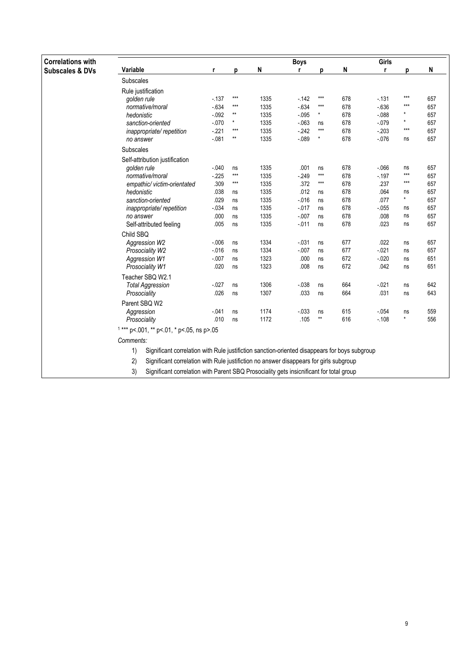| <b>Correlations with</b>   |                                                                                                     |          |                 |      | <b>Boys</b> |              |     | Girls    |          |     |
|----------------------------|-----------------------------------------------------------------------------------------------------|----------|-----------------|------|-------------|--------------|-----|----------|----------|-----|
| <b>Subscales &amp; DVs</b> | Variable                                                                                            | r        | D               | N    |             | p            | N   | r        | D        | N   |
|                            | Subscales                                                                                           |          |                 |      |             |              |     |          |          |     |
|                            | Rule justification                                                                                  |          |                 |      |             |              |     |          |          |     |
|                            | golden rule                                                                                         | $-137$   | $***$           | 1335 | $-142$      | $***$        | 678 | $-131$   | ***      | 657 |
|                            | normative/moral                                                                                     | $-634$   | $***$           | 1335 | $-634$      | $***$        | 678 | $-636$   | $***$    | 657 |
|                            | hedonistic                                                                                          | $-0.092$ | $^{\star\star}$ | 1335 | $-0.095$    | $\star$      | 678 | $-088$   | ×        | 657 |
|                            | sanction-oriented                                                                                   | $-070$   | $\star$         | 1335 | $-063$      | ns           | 678 | $-079$   | ×        | 657 |
|                            | inappropriate/repetition                                                                            | $-221$   | $***$           | 1335 | $-242$      | $***$        | 678 | $-203$   | $***$    | 657 |
|                            | no answer                                                                                           | $-081$   | $***$           | 1335 | $-089$      | *            | 678 | $-0.076$ | ns       | 657 |
|                            | Subscales                                                                                           |          |                 |      |             |              |     |          |          |     |
|                            | Self-attribution justification                                                                      |          |                 |      |             |              |     |          |          |     |
|                            | golden rule                                                                                         | $-040$   | ns              | 1335 | .001        | ns           | 678 | $-066$   | ns       | 657 |
|                            | normative/moral                                                                                     | $-225$   | $***$           | 1335 | $-249$      | $***$        | 678 | $-197$   | $***$    | 657 |
|                            | empathic/ victim-orientated                                                                         | .309     | $***$           | 1335 | .372        | $***$        | 678 | .237     | ***      | 657 |
|                            | hedonistic                                                                                          | .038     | ns              | 1335 | .012        | ns           | 678 | .064     | ns       | 657 |
|                            | sanction-oriented                                                                                   | .029     | ns              | 1335 | $-0.16$     | ns           | 678 | .077     | $^\star$ | 657 |
|                            | inappropriate/repetition                                                                            | $-0.34$  | ns              | 1335 | $-0.017$    | ns           | 678 | $-0.055$ | ns       | 657 |
|                            | no answer                                                                                           | .000     | ns              | 1335 | $-0.007$    | ns           | 678 | .008     | ns       | 657 |
|                            | Self-attributed feeling                                                                             | .005     | ns              | 1335 | $-0.011$    | ns           | 678 | .023     | ns       | 657 |
|                            | Child SBQ                                                                                           |          |                 |      |             |              |     |          |          |     |
|                            | Aggression W2                                                                                       | $-0.006$ | ns              | 1334 | $-0.031$    | ns           | 677 | .022     | ns       | 657 |
|                            | Prosociality W2                                                                                     | $-016$   | ns              | 1334 | $-.007$     | ns           | 677 | $-0.021$ | ns       | 657 |
|                            | <b>Aggression W1</b>                                                                                | $-007$   | ns              | 1323 | .000        | ns           | 672 | $-0.020$ | ns       | 651 |
|                            | Prosociality W1                                                                                     | .020     | ns              | 1323 | .008        | ns           | 672 | .042     | ns       | 651 |
|                            | Teacher SBQ W2.1                                                                                    |          |                 |      |             |              |     |          |          |     |
|                            | <b>Total Aggression</b>                                                                             | $-027$   | ns              | 1306 | $-0.38$     | ns           | 664 | $-.021$  | ns       | 642 |
|                            | Prosociality                                                                                        | .026     | ns              | 1307 | .033        | ns           | 664 | .031     | ns       | 643 |
|                            | Parent SBQ W2                                                                                       |          |                 |      |             |              |     |          |          |     |
|                            | Aggression                                                                                          | $-041$   | ns              | 1174 | $-0.033$    | ns           | 615 | $-054$   | ns       | 559 |
|                            | Prosociality                                                                                        | .010     | ns              | 1172 | .105        | $\star\star$ | 616 | $-108$   | $\star$  | 556 |
|                            | $1***$ p<.001, ** p<.01, * p<.05, ns p>.05                                                          |          |                 |      |             |              |     |          |          |     |
|                            | Comments:                                                                                           |          |                 |      |             |              |     |          |          |     |
|                            | 1)<br>Significant correlation with Rule justifiction sanction-oriented disappears for boys subgroup |          |                 |      |             |              |     |          |          |     |
|                            | 2)<br>Significant correlation with Rule justifiction no answer disappears for girls subgroup        |          |                 |      |             |              |     |          |          |     |

3) Significant correlation with Parent SBQ Prosociality gets insicnificant for total group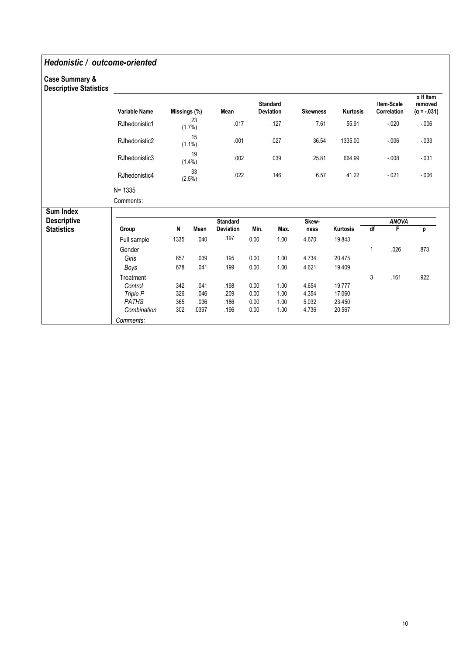### Hedonistic / outcome-oriented

#### Case Summary & Descriptive Statistics

| <b>Descriptive Statistics</b> |               |              |                 |                 |      |                                     |                 |          |                           |                                                   |
|-------------------------------|---------------|--------------|-----------------|-----------------|------|-------------------------------------|-----------------|----------|---------------------------|---------------------------------------------------|
|                               | Variable Name | Missings (%) |                 | Mean            |      | <b>Standard</b><br><b>Deviation</b> | <b>Skewness</b> | Kurtosis | Item-Scale<br>Correlation | $\alpha$ If Item<br>removed<br>$(\alpha = -.031)$ |
|                               | RJhedonistic1 |              | 23<br>(1.7%)    | .017            |      | .127                                | 7.61            | 55.91    | $-0.020$                  | $-0.06$                                           |
|                               | RJhedonistic2 |              | 15<br>$(1.1\%)$ | .001            |      | .027                                | 36.54           | 1335.00  | $-0.06$                   | $-0.33$                                           |
|                               | RJhedonistic3 |              | 19<br>$(1.4\%)$ | .002            |      | .039                                | 25.81           | 664.99   | $-008$                    | $-0.31$                                           |
|                               | RJhedonistic4 |              | 33<br>(2.5%)    | .022            |      | .146                                | 6.57            | 41.22    | $-021$                    | $-0.06$                                           |
|                               | $N = 1335$    |              |                 |                 |      |                                     |                 |          |                           |                                                   |
|                               | Comments:     |              |                 |                 |      |                                     |                 |          |                           |                                                   |
| Sum Index                     |               |              |                 |                 |      |                                     |                 |          |                           |                                                   |
| <b>Descriptive</b>            |               |              |                 | <b>Standard</b> |      |                                     | Skew-           |          | <b>ANOVA</b>              |                                                   |
| <b>Statistics</b>             | Group         | N            | Mean            | Deviation       | Min. | Max.                                | ness            | Kurtosis | df<br>F                   | p                                                 |
|                               | Full sample   | 1335         | .040            | .197            | 0.00 | 1.00                                | 4.670           | 19.843   |                           |                                                   |
|                               | Gender        |              |                 |                 |      |                                     |                 |          | 1<br>.026                 | .873                                              |
|                               | Girls         | 657          | .039            | .195            | 0.00 | 1.00                                | 4.734           | 20.475   |                           |                                                   |
|                               | Boys          | 678          | .041            | .199            | 0.00 | 1.00                                | 4.621           | 19.409   |                           |                                                   |
|                               | Treatment     |              |                 |                 |      |                                     |                 |          | 3<br>.161                 | .922                                              |
|                               | Control       | 342          | .041            | .198            | 0.00 | 1.00                                | 4.654           | 19.777   |                           |                                                   |
|                               | Triple P      | 326          | .046            | .209            | 0.00 | 1.00                                | 4.354           | 17.060   |                           |                                                   |
|                               | <b>PATHS</b>  | 365          | .036            | .186            | 0.00 | 1.00                                | 5.032           | 23.450   |                           |                                                   |
|                               | Combination   | 302          | .0397           | .196            | 0.00 | 1.00                                | 4.736           | 20.567   |                           |                                                   |
|                               | Comments:     |              |                 |                 |      |                                     |                 |          |                           |                                                   |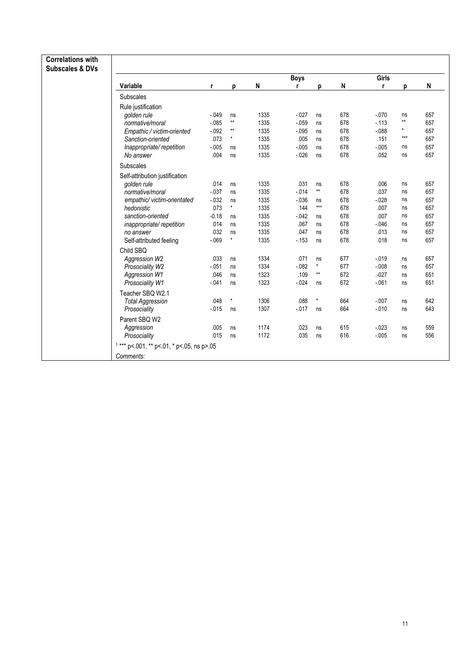| <b>Correlations with</b><br><b>Subscales &amp; DVs</b> |          |                 |      |             |                   |     |          |              |     |
|--------------------------------------------------------|----------|-----------------|------|-------------|-------------------|-----|----------|--------------|-----|
|                                                        |          |                 |      | <b>Boys</b> |                   |     | Girls    |              |     |
| Variable                                               | r        | p               | N    | r           | p                 | N   | r        | p            | N   |
| <b>Subscales</b>                                       |          |                 |      |             |                   |     |          |              |     |
| Rule justification                                     |          |                 |      |             |                   |     |          |              |     |
| golden rule                                            | $-0.049$ | ns              | 1335 | $-027$      | ns                | 678 | $-070$   | ns           | 657 |
| normative/moral                                        | $-0.085$ | $^{\star\star}$ | 1335 | $-.059$     | ns                | 678 | $-113$   | $\star\star$ | 657 |
| Empathic / victim-oriented                             | $-0.092$ | $^{\star\star}$ | 1335 | $-0.095$    | ns                | 678 | $-088$   | $\star$      | 657 |
| Sanction-oriented                                      | .073     | $\star$         | 1335 | .005        | ns                | 678 | .151     | $***$        | 657 |
| Inappropriate/repetition                               | $-0.005$ | ns              | 1335 | $-0.005$    | ns                | 678 | $-0.005$ | ns           | 657 |
| No answer                                              | .004     | ns              | 1335 | $-026$      | ns                | 678 | .052     | ns           | 657 |
| Subscales                                              |          |                 |      |             |                   |     |          |              |     |
| Self-attribution justification                         |          |                 |      |             |                   |     |          |              |     |
| golden rule                                            | .014     | ns              | 1335 | .031        | ns                | 678 | .006     | ns           | 657 |
| normative/moral                                        | $-0.37$  | ns              | 1335 | $-014$      | $\star\star$      | 678 | .037     | ns           | 657 |
| empathic/victim-orientated                             | $-032$   | ns              | 1335 | $-0.036$    | ns                | 678 | $-0.028$ | ns           | 657 |
| hedonistic                                             | .073     | $\star$         | 1335 | .144        | $\star\star\star$ | 678 | .007     | ns           | 657 |
| sanction-oriented                                      | $-0.18$  | ns              | 1335 | $-042$      | ns                | 678 | .007     | ns           | 657 |
| inappropriate/repetition                               | .014     | ns              | 1335 | .067        | ns                | 678 | $-0.046$ | ns           | 657 |
| no answer                                              | .032     | ns              | 1335 | .047        | ns                | 678 | .013     | ns           | 657 |
| Self-attributed feeling                                | $-069$   | $^\star$        | 1335 | $-153$      | ns                | 678 | .018     | ns           | 657 |
| Child SBQ                                              |          |                 |      |             |                   |     |          |              |     |
| Aggression W2                                          | .033     | ns              | 1334 | .071        | ns                | 677 | $-0.19$  | ns           | 657 |
| Prosociality W2                                        | $-051$   | ns              | 1334 | $-0.082$    | $\star$           | 677 | $-0.08$  | ns           | 657 |
| Aggression W1                                          | .046     | ns              | 1323 | .109        | $\star\star$      | 672 | $-027$   | ns           | 651 |
| Prosociality W1                                        | $-041$   | ns              | 1323 | $-024$      | ns                | 672 | $-061$   | ns           | 651 |
| Teacher SBQ W2.1                                       |          |                 |      |             |                   |     |          |              |     |
| <b>Total Aggression</b>                                | .048     | ×               | 1306 | .088        |                   | 664 | $-.007$  | ns           | 642 |
| Prosociality                                           | $-0.015$ | ns              | 1307 | $-0.017$    | ns                | 664 | $-.010$  | ns           | 643 |
| Parent SBQ W2                                          |          |                 |      |             |                   |     |          |              |     |
| Aggression                                             | .005     | ns              | 1174 | .023        | ns                | 615 | $-023$   | ns           | 559 |
| Prosociality                                           | .015     | ns              | 1172 | .035        | ns                | 616 | $-0.005$ | ns           | 556 |
| $1***$ p<.001, ** p<.01, * p<.05, ns p>.05             |          |                 |      |             |                   |     |          |              |     |
| Comments:                                              |          |                 |      |             |                   |     |          |              |     |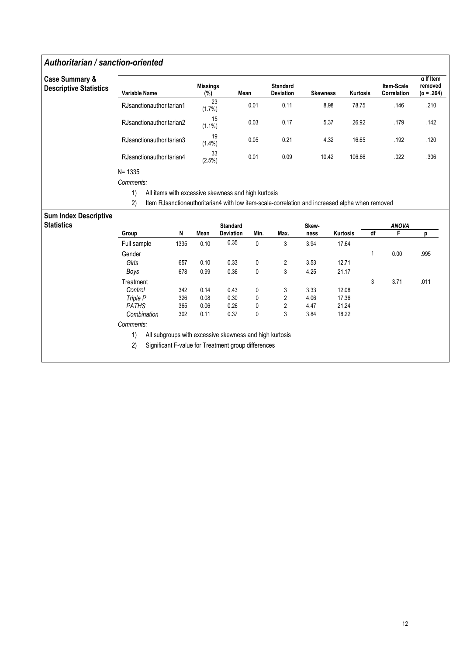### Authoritarian / sanction-oriented

| <b>Case Summary &amp;</b><br><b>Descriptive Statistics</b> | Variable Name            | <b>Missings</b><br>(%) | Mean | <b>Standard</b><br><b>Deviation</b> | <b>Skewness</b> | Kurtosis | Item-Scale<br>Correlation | $\alpha$ If Item<br>removed<br>$(\alpha = .264)$ |
|------------------------------------------------------------|--------------------------|------------------------|------|-------------------------------------|-----------------|----------|---------------------------|--------------------------------------------------|
|                                                            | RJsanctionauthoritarian1 | 23<br>(1.7%)           | 0.01 | 0.11                                | 8.98            | 78.75    | .146                      | .210                                             |
|                                                            | RJsanctionauthoritarian2 | 15<br>$(1.1\%)$        | 0.03 | 0.17                                | 5.37            | 26.92    | .179                      | .142                                             |
|                                                            | RJsanctionauthoritarian3 | 19<br>$(1.4\%)$        | 0.05 | 0.21                                | 4.32            | 16.65    | .192                      | .120                                             |
|                                                            | RJsanctionauthoritarian4 | 33<br>(2.5%)           | 0.01 | 0.09                                | 10.42           | 106.66   | .022                      | .306                                             |
|                                                            | $N = 1335$               |                        |      |                                     |                 |          |                           |                                                  |

Comments:

1) All items with excessive skewness and high kurtosis

2) Item RJsanctionauthoritarian4 with low item-scale-correlation and increased alpha when removed

#### Sum Index Descriptive

| <b>Statistics</b> |              |      |      | <b>Standard</b>                                         |      |                | Skew- |          |    | <b>ANOVA</b> |      |
|-------------------|--------------|------|------|---------------------------------------------------------|------|----------------|-------|----------|----|--------------|------|
|                   | Group        | N    | Mean | <b>Deviation</b>                                        | Min. | Max.           | ness  | Kurtosis | df | F            |      |
|                   | Full sample  | 1335 | 0.10 | 0.35                                                    | 0    | 3              | 3.94  | 17.64    |    |              |      |
|                   | Gender       |      |      |                                                         |      |                |       |          |    | 0.00         | .995 |
|                   | Girls        | 657  | 0.10 | 0.33                                                    | 0    | $\overline{2}$ | 3.53  | 12.71    |    |              |      |
|                   | Boys         | 678  | 0.99 | 0.36                                                    | 0    | 3              | 4.25  | 21.17    |    |              |      |
|                   | Treatment    |      |      |                                                         |      |                |       |          | 3  | 3.71         | .011 |
|                   | Control      | 342  | 0.14 | 0.43                                                    | 0    | 3              | 3.33  | 12.08    |    |              |      |
|                   | Triple P     | 326  | 0.08 | 0.30                                                    | 0    | $\overline{2}$ | 4.06  | 17.36    |    |              |      |
|                   | <b>PATHS</b> | 365  | 0.06 | 0.26                                                    | 0    | 2              | 4.47  | 21.24    |    |              |      |
|                   | Combination  | 302  | 0.11 | 0.37                                                    | 0    | 3              | 3.84  | 18.22    |    |              |      |
|                   | Comments:    |      |      |                                                         |      |                |       |          |    |              |      |
|                   | 1)           |      |      | All subgroups with excessive skewness and high kurtosis |      |                |       |          |    |              |      |
|                   | 2)           |      |      | Significant F-value for Treatment group differences     |      |                |       |          |    |              |      |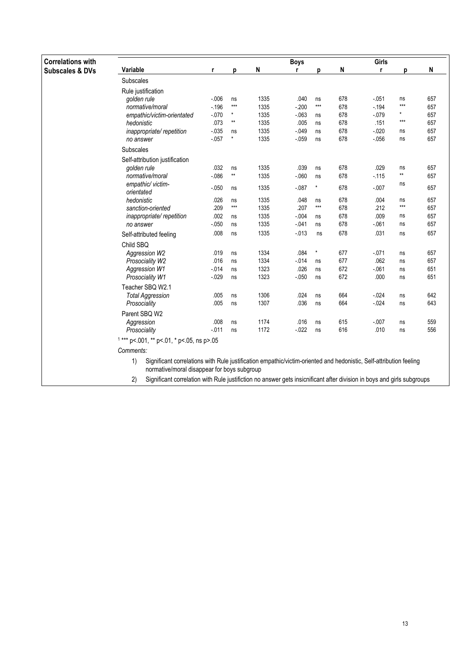| <b>Correlations with</b>   |                                                                                                                                                                                       |          |                   |      | <b>Boys</b> |                   |     | Girls    |              |     |
|----------------------------|---------------------------------------------------------------------------------------------------------------------------------------------------------------------------------------|----------|-------------------|------|-------------|-------------------|-----|----------|--------------|-----|
| <b>Subscales &amp; DVs</b> | Variable                                                                                                                                                                              | r        | p                 | N    | r           | D                 | N   | r        | p            | N   |
|                            | <b>Subscales</b>                                                                                                                                                                      |          |                   |      |             |                   |     |          |              |     |
|                            | Rule justification                                                                                                                                                                    |          |                   |      |             |                   |     |          |              |     |
|                            | golden rule                                                                                                                                                                           | $-006$   | ns                | 1335 | .040        | ns                | 678 | $-0.051$ | ns           | 657 |
|                            | normative/moral                                                                                                                                                                       | $-196$   | $***$             | 1335 | $-200$      | $***$             | 678 | $-194$   | $***$        | 657 |
|                            | empathic/victim-orientated                                                                                                                                                            | $-070$   | $\star$           | 1335 | $-063$      | ns                | 678 | $-079$   | $\star$      | 657 |
|                            | hedonistic                                                                                                                                                                            | .073     | $^{\star\star}$   | 1335 | .005        | ns                | 678 | .151     | $***$        | 657 |
|                            | inappropriate/repetition                                                                                                                                                              | $-0.35$  | ns                | 1335 | $-0.049$    | ns                | 678 | $-020$   | ns           | 657 |
|                            | no answer                                                                                                                                                                             | $-057$   | $\star$           | 1335 | $-0.059$    | ns                | 678 | $-0.056$ | ns           | 657 |
|                            | <b>Subscales</b>                                                                                                                                                                      |          |                   |      |             |                   |     |          |              |     |
|                            | Self-attribution justification                                                                                                                                                        |          |                   |      |             |                   |     |          |              |     |
|                            | golden rule                                                                                                                                                                           | .032     | ns                | 1335 | .039        | ns                | 678 | .029     | ns           | 657 |
|                            | normative/moral                                                                                                                                                                       | $-086$   | $^{\star\star}$   | 1335 | $-060$      | ns                | 678 | $-115$   | $\star\star$ | 657 |
|                            | empathic/ victim-<br>orientated                                                                                                                                                       | $-050$   | ns                | 1335 | $-0.87$     | $\star$           | 678 | $-0.007$ | ns           | 657 |
|                            | hedonistic                                                                                                                                                                            | .026     | ns                | 1335 | .048        | ns                | 678 | .004     | ns           | 657 |
|                            | sanction-oriented                                                                                                                                                                     | .209     | $\star\star\star$ | 1335 | .207        | $\star\star\star$ | 678 | .212     | $***$        | 657 |
|                            | inappropriate/repetition                                                                                                                                                              | .002     | ns                | 1335 | $-.004$     | ns                | 678 | .009     | ns           | 657 |
|                            | no answer                                                                                                                                                                             | $-050$   | ns                | 1335 | $-041$      | ns                | 678 | $-061$   | ns           | 657 |
|                            | Self-attributed feeling                                                                                                                                                               | .008     | ns                | 1335 | $-013$      | ns                | 678 | .031     | ns           | 657 |
|                            | Child SBQ                                                                                                                                                                             |          |                   |      |             |                   |     |          |              |     |
|                            | Aggression W2                                                                                                                                                                         | .019     | ns                | 1334 | .084        | $\star$           | 677 | $-0.071$ | ns           | 657 |
|                            | Prosociality W2                                                                                                                                                                       | .016     | ns                | 1334 | $-0.14$     | ns                | 677 | .062     | ns           | 657 |
|                            | <b>Aggression W1</b>                                                                                                                                                                  | $-014$   | ns                | 1323 | .026        | ns                | 672 | $-061$   | ns           | 651 |
|                            | Prosociality W1                                                                                                                                                                       | $-0.029$ | ns                | 1323 | $-050$      | ns                | 672 | .000     | ns           | 651 |
|                            | Teacher SBQ W2.1                                                                                                                                                                      |          |                   |      |             |                   |     |          |              |     |
|                            | <b>Total Aggression</b>                                                                                                                                                               | .005     | ns                | 1306 | .024        | ns                | 664 | $-024$   | ns           | 642 |
|                            | Prosociality                                                                                                                                                                          | .005     | ns                | 1307 | .036        | ns                | 664 | $-.024$  | ns           | 643 |
|                            | Parent SBQ W2                                                                                                                                                                         |          |                   |      |             |                   |     |          |              |     |
|                            | Aggression                                                                                                                                                                            | .008     | ns                | 1174 | .016        | ns                | 615 | $-0.007$ | ns           | 559 |
|                            | Prosociality                                                                                                                                                                          | $-0.011$ | ns                | 1172 | $-0.022$    | ns                | 616 | .010     | ns           | 556 |
|                            | $1***$ p<.001, ** p<.01, * p<.05, ns p>.05                                                                                                                                            |          |                   |      |             |                   |     |          |              |     |
|                            | Comments:                                                                                                                                                                             |          |                   |      |             |                   |     |          |              |     |
|                            | $\left( \right)$<br>Significant correlations with Rule justification empathic/victim-oriented and hedonistic, Self-attribution feeling<br>normative/moral disappear for boys subgroup |          |                   |      |             |                   |     |          |              |     |

2) Significant correlation with Rule justifiction no answer gets insicnificant after division in boys and girls subgroups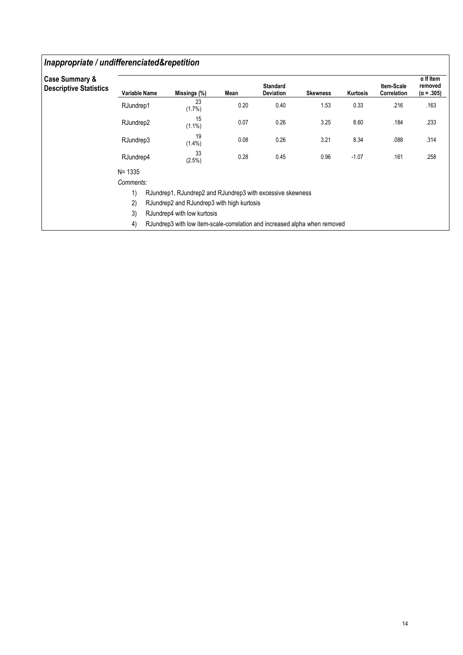### Inappropriate / undifferenciated&repetition

| <b>Case Summary &amp;</b>     |                      |                                                                            |      |                                     |                 |          |                           | $\alpha$ If Item             |
|-------------------------------|----------------------|----------------------------------------------------------------------------|------|-------------------------------------|-----------------|----------|---------------------------|------------------------------|
| <b>Descriptive Statistics</b> | <b>Variable Name</b> | Missings (%)                                                               | Mean | <b>Standard</b><br><b>Deviation</b> | <b>Skewness</b> | Kurtosis | Item-Scale<br>Correlation | removed<br>$(\alpha = .305)$ |
|                               | RJundrep1            | 23<br>$(1.7\%)$                                                            | 0.20 | 0.40                                | 1.53            | 0.33     | .216                      | .163                         |
|                               | RJundrep2            | 15<br>$(1.1\%)$                                                            | 0.07 | 0.26                                | 3.25            | 8.60     | .184                      | .233                         |
|                               | RJundrep3            | 19<br>$(1.4\%)$                                                            | 0.08 | 0.26                                | 3.21            | 8.34     | .088                      | .314                         |
|                               | RJundrep4            | 33<br>(2.5%)                                                               | 0.28 | 0.45                                | 0.96            | $-1.07$  | .161                      | .258                         |
|                               | $N = 1335$           |                                                                            |      |                                     |                 |          |                           |                              |
|                               | Comments:            |                                                                            |      |                                     |                 |          |                           |                              |
|                               | 1)                   | RJundrep1, RJundrep2 and RJundrep3 with excessive skewness                 |      |                                     |                 |          |                           |                              |
|                               | 2)                   | RJundrep2 and RJundrep3 with high kurtosis                                 |      |                                     |                 |          |                           |                              |
|                               | 3)                   | RJundrep4 with low kurtosis                                                |      |                                     |                 |          |                           |                              |
|                               | 4)                   | RJundrep3 with low item-scale-correlation and increased alpha when removed |      |                                     |                 |          |                           |                              |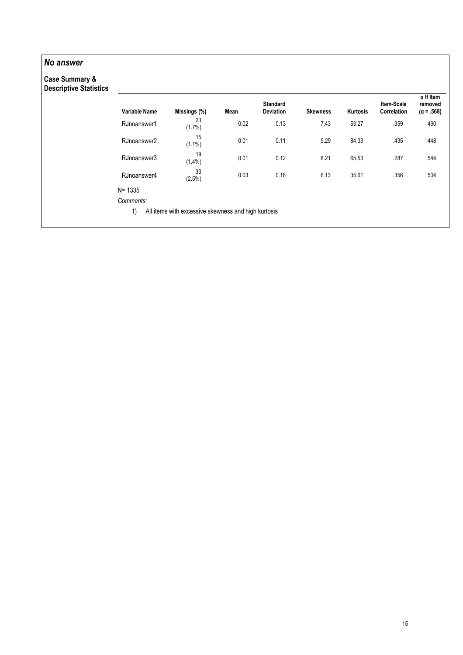### No answer

# Case Summary &

| <b>Descriptive Statistics</b> | <b>Variable Name</b> | Missings (%)                                        | Mean | <b>Standard</b><br><b>Deviation</b> | <b>Skewness</b> | Kurtosis | Item-Scale<br>Correlation | $\alpha$ If Item<br>removed<br>$(\alpha = .568)$ |
|-------------------------------|----------------------|-----------------------------------------------------|------|-------------------------------------|-----------------|----------|---------------------------|--------------------------------------------------|
|                               | RJnoanswer1          | 23<br>$(1.7\%)$                                     | 0.02 | 0.13                                | 7.43            | 53.27    | .359                      | .490                                             |
|                               | RJnoanswer2          | 15<br>$(1.1\%)$                                     | 0.01 | 0.11                                | 9.29            | 84.33    | .435                      | .448                                             |
|                               | RJnoanswer3          | 19<br>$(1.4\%)$                                     | 0.01 | 0.12                                | 8.21            | 65.53    | .287                      | .544                                             |
|                               | RJnoanswer4          | 33<br>$(2.5\%)$                                     | 0.03 | 0.16                                | 6.13            | 35.61    | .356                      | .504                                             |
|                               | N= 1335              |                                                     |      |                                     |                 |          |                           |                                                  |
|                               | Comments:            |                                                     |      |                                     |                 |          |                           |                                                  |
|                               | 1)                   | All items with excessive skewness and high kurtosis |      |                                     |                 |          |                           |                                                  |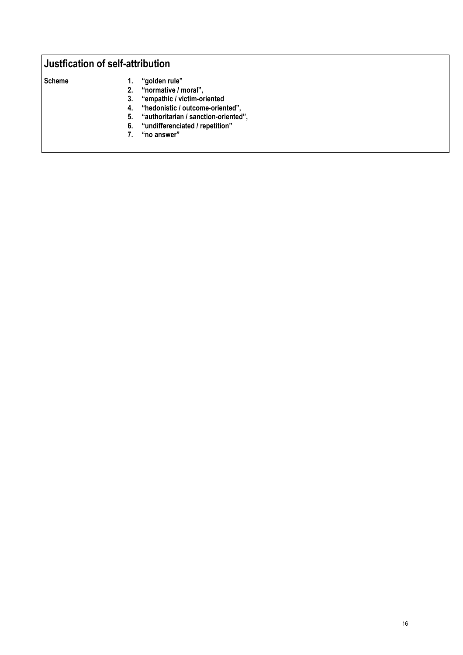### Justfication of self-attribution

- 
- Scheme 1. "golden rule"<br>2. "normative / n
	- 2. "normative / moral",<br>3. "empathic / victim-or 3. "empathic / victim-oriented
	- 4. "hedonistic / outcome-oriented",
	- 5. "authoritarian / sanction-oriented",
	- 6. "undifferenciated / repetition"
	- 7. "no answer"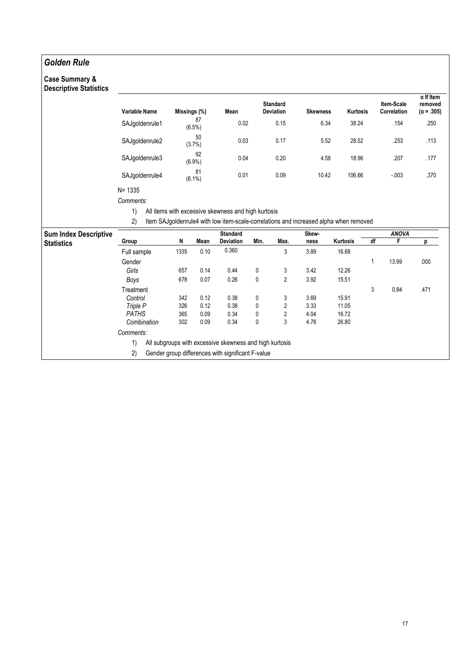### Golden Rule

# Case Summary &

| <b>Descriptive Statistics</b> |                                     |              |                 |                                                                                                                                              |                                     |                |                 |                 |    |                           | $\alpha$ If Item             |
|-------------------------------|-------------------------------------|--------------|-----------------|----------------------------------------------------------------------------------------------------------------------------------------------|-------------------------------------|----------------|-----------------|-----------------|----|---------------------------|------------------------------|
|                               | <b>Variable Name</b>                | Missings (%) |                 | Mean                                                                                                                                         | <b>Standard</b><br><b>Deviation</b> |                | <b>Skewness</b> | <b>Kurtosis</b> |    | Item-Scale<br>Correlation | removed<br>$(\alpha = .305)$ |
|                               | SAJgoldenrule1                      |              | 87<br>$(6.5\%)$ | 0.02                                                                                                                                         |                                     | 0.15           | 6.34            | 38.24           |    | .154                      | .250                         |
|                               | SAJgoldenrule2                      |              | 50<br>$(3.7\%)$ | 0.03                                                                                                                                         |                                     | 0.17           | 5.52            | 28.52           |    | .253                      | .113                         |
|                               | SAJgoldenrule3                      |              | 92<br>$(6.9\%)$ | 0.04                                                                                                                                         |                                     | 0.20           | 4.58            | 18.96           |    | .207                      | .177                         |
|                               | SAJgoldenrule4                      |              | 81<br>$(6.1\%)$ | 0.01                                                                                                                                         |                                     | 0.09           | 10.42           | 106.66          |    | $-0.003$                  | .370                         |
|                               | $N = 1335$<br>Comments:<br>1)<br>2) |              |                 | All items with excessive skewness and high kurtosis<br>Item SAJgoldenrule4 with low item-scale-correlations and increased alpha when removed |                                     |                |                 |                 |    |                           |                              |
| <b>Sum Index Descriptive</b>  |                                     |              |                 |                                                                                                                                              |                                     |                |                 |                 |    |                           |                              |
|                               |                                     |              |                 |                                                                                                                                              |                                     |                |                 |                 |    |                           |                              |
|                               | Group                               | N            | Mean            | <b>Standard</b><br>Deviation                                                                                                                 | Min.                                | Max.           | Skew-<br>ness   | Kurtosis        | df | <b>ANOVA</b><br>F         | р                            |
| <b>Statistics</b>             | Full sample                         | 1335         | 0.10            | 0.360                                                                                                                                        |                                     | 3              | 3.89            | 16.68           |    |                           |                              |
|                               | Gender                              |              |                 |                                                                                                                                              |                                     |                |                 |                 | 1  | 13.99                     | .000                         |
|                               | Girls                               | 657          | 0.14            | 0.44                                                                                                                                         | 0                                   | 3              | 3.42            | 12.26           |    |                           |                              |
|                               | Boys                                | 678          | 0.07            | 0.26                                                                                                                                         | $\mathbf{0}$                        | $\overline{2}$ | 3.92            | 15.51           |    |                           |                              |
|                               | Treatment                           |              |                 |                                                                                                                                              |                                     |                |                 |                 | 3  | 0.84                      | .471                         |
|                               | Control                             | 342          | 0.12            | 0.38                                                                                                                                         | 0                                   | 3              | 3.69            | 15.91           |    |                           |                              |
|                               | Triple P                            | 326          | 0.12            | 0.38                                                                                                                                         | 0                                   | 2              | 3.33            | 11.05           |    |                           |                              |
|                               | <b>PATHS</b>                        | 365          | 0.09            | 0.34                                                                                                                                         | 0                                   | $\sqrt{2}$     | 4.04            | 16.72           |    |                           |                              |
|                               | Combination                         | 302          | 0.09            | 0.34                                                                                                                                         | 0                                   | 3              | 4.78            | 26.80           |    |                           |                              |
|                               | Comments:                           |              |                 |                                                                                                                                              |                                     |                |                 |                 |    |                           |                              |

2) Gender group differences with significant F-value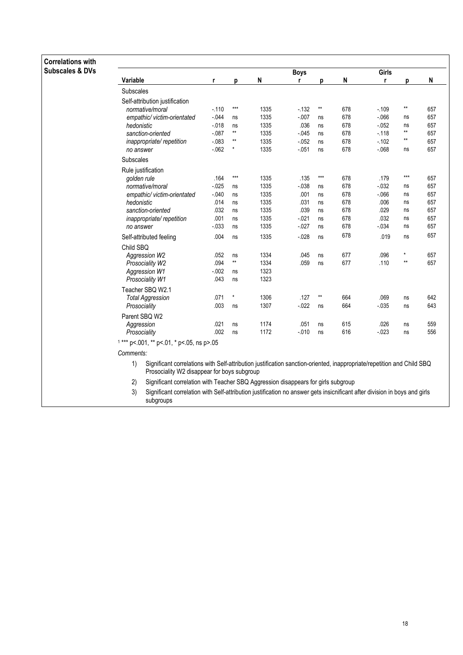| <b>Correlations with</b>   |                    |                                                                                                                                                                       |          |                   |      |             |              |     |          |                       |     |
|----------------------------|--------------------|-----------------------------------------------------------------------------------------------------------------------------------------------------------------------|----------|-------------------|------|-------------|--------------|-----|----------|-----------------------|-----|
| <b>Subscales &amp; DVs</b> |                    |                                                                                                                                                                       |          |                   |      | <b>Boys</b> |              |     | Girls    |                       |     |
|                            | Variable           |                                                                                                                                                                       | r        | p                 | N    | r           | p            | N   | r        | p                     | N   |
|                            | Subscales          |                                                                                                                                                                       |          |                   |      |             |              |     |          |                       |     |
|                            |                    | Self-attribution justification                                                                                                                                        |          |                   |      |             |              |     |          |                       |     |
|                            |                    | normative/moral                                                                                                                                                       | $-.110$  | $\star\star\star$ | 1335 | $-132$      | **           | 678 | $-109$   | $^{\star\star}$       | 657 |
|                            |                    | empathic/victim-orientated                                                                                                                                            | $-0.044$ | ns                | 1335 | $-0.07$     | ns           | 678 | $-066$   | ns                    | 657 |
|                            | hedonistic         |                                                                                                                                                                       | $-0.018$ | ns                | 1335 | .036        | ns           | 678 | $-0.052$ | ns<br>$^{\star\star}$ | 657 |
|                            |                    | sanction-oriented                                                                                                                                                     | $-087$   | $^{\star\star}$   | 1335 | $-0.045$    | ns           | 678 | $-118$   | $^{\star\star}$       | 657 |
|                            |                    | inappropriate/repetition                                                                                                                                              | $-083$   | $***$<br>$\star$  | 1335 | $-052$      | ns           | 678 | $-102$   |                       | 657 |
|                            | no answer          |                                                                                                                                                                       | $-062$   |                   | 1335 | $-051$      | ns           | 678 | $-068$   | ns                    | 657 |
|                            | Subscales          |                                                                                                                                                                       |          |                   |      |             |              |     |          |                       |     |
|                            | Rule justification |                                                                                                                                                                       |          |                   |      |             |              |     |          |                       |     |
|                            | golden rule        |                                                                                                                                                                       | .164     | $***$             | 1335 | .135        | $***$        | 678 | .179     | $***$                 | 657 |
|                            |                    | normative/moral                                                                                                                                                       | $-025$   | ns                | 1335 | $-0.38$     | ns           | 678 | $-0.032$ | ns                    | 657 |
|                            |                    | empathic/ victim-orientated                                                                                                                                           | $-.040$  | ns                | 1335 | .001        | ns           | 678 | $-066$   | ns                    | 657 |
|                            | hedonistic         |                                                                                                                                                                       | .014     | ns                | 1335 | .031        | ns           | 678 | .006     | ns                    | 657 |
|                            |                    | sanction-oriented                                                                                                                                                     | .032     | ns                | 1335 | .039        | ns           | 678 | .029     | ns                    | 657 |
|                            |                    | inappropriate/repetition                                                                                                                                              | .001     | ns                | 1335 | $-021$      | ns           | 678 | .032     | ns                    | 657 |
|                            | no answer          |                                                                                                                                                                       | $-0.033$ | ns                | 1335 | $-027$      | ns           | 678 | $-0.34$  | ns                    | 657 |
|                            |                    | Self-attributed feeling                                                                                                                                               | .004     | ns                | 1335 | $-0.28$     | ns           | 678 | .019     | ns                    | 657 |
|                            | Child SBQ          |                                                                                                                                                                       |          |                   |      |             |              |     |          |                       |     |
|                            |                    | Aggression W2                                                                                                                                                         | .052     | ns                | 1334 | .045        | ns           | 677 | .096     | $^\star$              | 657 |
|                            |                    | Prosociality W2                                                                                                                                                       | .094     | $^{\star\star}$   | 1334 | .059        | ns           | 677 | .110     | $***$                 | 657 |
|                            |                    | <b>Aggression W1</b>                                                                                                                                                  | $-0.002$ | ns                | 1323 |             |              |     |          |                       |     |
|                            |                    | Prosociality W1                                                                                                                                                       | .043     | ns                | 1323 |             |              |     |          |                       |     |
|                            |                    | Teacher SBQ W2.1                                                                                                                                                      |          |                   |      |             |              |     |          |                       |     |
|                            |                    | <b>Total Aggression</b>                                                                                                                                               | .071     | $^\star$          | 1306 | .127        | $\star\star$ | 664 | .069     | ns                    | 642 |
|                            | Prosociality       |                                                                                                                                                                       | .003     | ns                | 1307 | $-022$      | ns           | 664 | $-0.035$ | ns                    | 643 |
|                            | Parent SBQ W2      |                                                                                                                                                                       |          |                   |      |             |              |     |          |                       |     |
|                            | Aggression         |                                                                                                                                                                       | .021     | ns                | 1174 | .051        | ns           | 615 | .026     | ns                    | 559 |
|                            | Prosociality       |                                                                                                                                                                       | .002     | ns                | 1172 | $-0.010$    | ns           | 616 | $-023$   | ns                    | 556 |
|                            |                    | $1***$ p <. 001, ** p <. 01, * p <. 05, ns p >. 05                                                                                                                    |          |                   |      |             |              |     |          |                       |     |
|                            | Comments:          |                                                                                                                                                                       |          |                   |      |             |              |     |          |                       |     |
|                            | 1)                 | Significant correlations with Self-attribution justification sanction-oriented, inappropriate/repetition and Child SBQ<br>Prosociality W2 disappear for boys subgroup |          |                   |      |             |              |     |          |                       |     |
|                            | 2)                 | Significant correlation with Teacher SBQ Aggression disappears for girls subgroup                                                                                     |          |                   |      |             |              |     |          |                       |     |
|                            | 3)                 | Significant correlation with Self-attribution justification no answer gets insicnificant after division in boys and girls                                             |          |                   |      |             |              |     |          |                       |     |
|                            |                    | subgroups                                                                                                                                                             |          |                   |      |             |              |     |          |                       |     |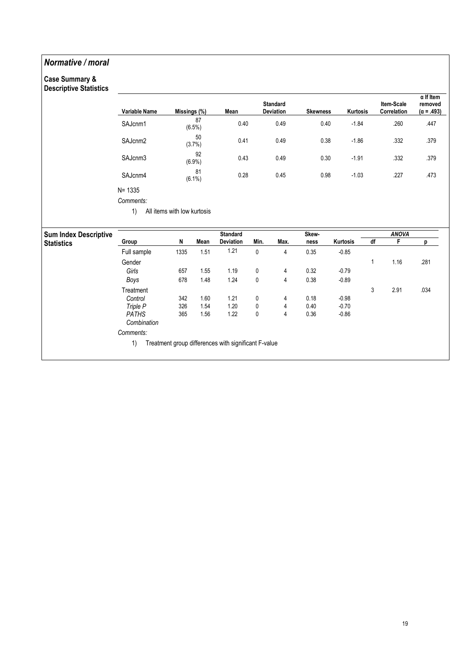### Normative / moral

#### Case Summary & Descriptive Statistics

| Descriptive Statistics       |               |                             |                 |                                                      |             |                              |                 |          |    |                           | $\alpha$ If Item             |
|------------------------------|---------------|-----------------------------|-----------------|------------------------------------------------------|-------------|------------------------------|-----------------|----------|----|---------------------------|------------------------------|
|                              | Variable Name | Missings (%)                |                 | Mean                                                 |             | <b>Standard</b><br>Deviation | <b>Skewness</b> | Kurtosis |    | Item-Scale<br>Correlation | removed<br>$(\alpha = .493)$ |
|                              | SAJcnm1       |                             | 87<br>$(6.5\%)$ | 0.40                                                 |             | 0.49                         | 0.40            | $-1.84$  |    | .260                      | .447                         |
|                              | SAJcnm2       |                             | 50<br>(3.7%)    | 0.41                                                 |             | 0.49                         | 0.38            | $-1.86$  |    | .332                      | .379                         |
|                              | SAJcnm3       |                             | 92<br>$(6.9\%)$ | 0.43                                                 |             | 0.49                         | 0.30            | $-1.91$  |    | .332                      | .379                         |
|                              | SAJcnm4       |                             | 81<br>$(6.1\%)$ | 0.28                                                 |             | 0.45                         | 0.98            | $-1.03$  |    | .227                      | .473                         |
|                              | $N = 1335$    |                             |                 |                                                      |             |                              |                 |          |    |                           |                              |
|                              | Comments:     |                             |                 |                                                      |             |                              |                 |          |    |                           |                              |
|                              | 1)            | All items with low kurtosis |                 |                                                      |             |                              |                 |          |    |                           |                              |
|                              |               |                             |                 |                                                      |             |                              |                 |          |    |                           |                              |
| <b>Sum Index Descriptive</b> |               |                             |                 | <b>Standard</b>                                      |             |                              | Skew-           |          |    | <b>ANOVA</b>              |                              |
| <b>Statistics</b>            | Group         | N                           | Mean            | Deviation                                            | Min.        | Max.                         | ness            | Kurtosis | df | F                         | р                            |
|                              | Full sample   | 1335                        | 1.51            | 1.21                                                 | $\mathbf 0$ | 4                            | 0.35            | $-0.85$  |    |                           |                              |
|                              | Gender        |                             |                 |                                                      |             |                              |                 |          | 1  | 1.16                      | .281                         |
|                              | Girls         | 657                         | 1.55            | 1.19                                                 | 0           | 4                            | 0.32            | $-0.79$  |    |                           |                              |
|                              | Boys          | 678                         | 1.48            | 1.24                                                 | $\pmb{0}$   | 4                            | 0.38            | $-0.89$  |    |                           |                              |
|                              | Treatment     |                             |                 |                                                      |             |                              |                 |          | 3  | 2.91                      | .034                         |
|                              | Control       | 342                         | 1.60            | 1.21                                                 | 0           | 4                            | 0.18            | $-0.98$  |    |                           |                              |
|                              | Triple P      | 326                         | 1.54            | 1.20                                                 | 0           | 4                            | 0.40            | $-0.70$  |    |                           |                              |
|                              | <b>PATHS</b>  | 365                         | 1.56            | 1.22                                                 | 0           | 4                            | 0.36            | $-0.86$  |    |                           |                              |
|                              |               |                             |                 |                                                      |             |                              |                 |          |    |                           |                              |
|                              | Combination   |                             |                 |                                                      |             |                              |                 |          |    |                           |                              |
|                              | Comments:     |                             |                 |                                                      |             |                              |                 |          |    |                           |                              |
|                              | 1)            |                             |                 | Treatment group differences with significant F-value |             |                              |                 |          |    |                           |                              |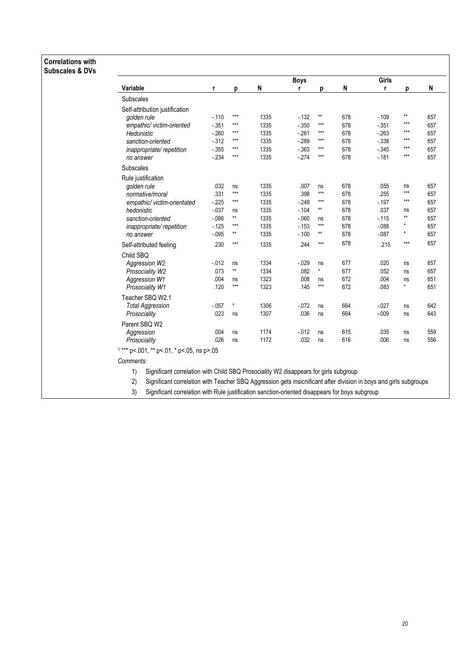#### Correlations with Subscales & DVs

|                                            |          |                 |      | <b>Boys</b> |              |     | Girls    |              |     |
|--------------------------------------------|----------|-----------------|------|-------------|--------------|-----|----------|--------------|-----|
| <b>Variable</b>                            | r        | p               | N    | r           | p            | N   | r        | p            | N   |
| Subscales                                  |          |                 |      |             |              |     |          |              |     |
| Self-attribution justification             |          |                 |      |             |              |     |          |              |     |
| golden rule                                | $-.110$  | $***$           | 1335 | $-132$      | $\star\star$ | 678 | $-109$   | $\star\star$ | 657 |
| empathic/ victim-oriented                  | $-0.351$ | $***$           | 1335 | $-0.350$    | $***$        | 678 | $-351$   | ***          | 657 |
| Hedonistic                                 | $-260$   | $***$           | 1335 | $-261$      | $***$        | 678 | $-263$   | $***$        | 657 |
| sanction-oriented                          | $-312$   | $***$           | 1335 | $-289$      | ***          | 678 | $-0.338$ | $***$        | 657 |
| inappropriate/repetition                   | $-0.355$ | $***$           | 1335 | $-0.363$    | ***          | 678 | $-0.345$ | $***$        | 657 |
| no answer                                  | $-234$   | $***$           | 1335 | $-274$      | $***$        | 678 | $-181$   | $***$        | 657 |
| Subscales                                  |          |                 |      |             |              |     |          |              |     |
| Rule justification                         |          |                 |      |             |              |     |          |              |     |
| golden rule                                | .032     | ns              | 1335 | .007        | ns           | 678 | .055     | ns           | 657 |
| normative/moral                            | .331     | $***$           | 1335 | .398        | $***$        | 678 | .255     | $***$        | 657 |
| empathic/victim-orientated                 | $-225$   | $***$           | 1335 | $-249$      | $***$        | 678 | $-197$   | $***$        | 657 |
| hedonistic                                 | $-0.037$ | ns              | 1335 | $-104$      | $\star\star$ | 678 | .037     | ns           | 657 |
| sanction-oriented                          | $-0.086$ | $^{\star\star}$ | 1335 | $-0.060$    | ns           | 678 | $-115$   | $\star\star$ | 657 |
| inappropriate/repetition                   | $-125$   | $***$           | 1335 | $-153$      | $***$        | 678 | $-0.088$ |              | 657 |
| no answer                                  | $-0.95$  | $**$            | 1335 | $-.100$     | **           | 678 | $-0.87$  | $\star$      | 657 |
| Self-attributed feeling                    | .230     | $***$           | 1335 | .244        | $***$        | 678 | .215     | $***$        | 657 |
| Child SBQ                                  |          |                 |      |             |              |     |          |              |     |
| Aggression W2                              | $-0.012$ | ns              | 1334 | $-0.029$    | ns           | 677 | .020     | ns           | 657 |
| Prosociality W2                            | .073     | $**$            | 1334 | .082        | $^{\star}$   | 677 | .052     | ns           | 657 |
| Aggression W1                              | .004     | ns              | 1323 | .008        | ns           | 672 | .004     | ns           | 651 |
| Prosociality W1                            | .120     | $***$           | 1323 | .145        | $***$        | 672 | .083     | $\star$      | 651 |
| Teacher SBQ W2.1                           |          |                 |      |             |              |     |          |              |     |
| <b>Total Aggression</b>                    | $-0.057$ | $^\star$        | 1306 | $-072$      | ns           | 664 | $-027$   | ns           | 642 |
| Prosociality                               | .023     | ns              | 1307 | .036        | ns           | 664 | $-0.09$  | ns           | 643 |
| Parent SBQ W2                              |          |                 |      |             |              |     |          |              |     |
| Aggression                                 | .004     | ns              | 1174 | $-0.012$    | ns           | 615 | .035     | ns           | 559 |
| Prosociality                               | .026     | ns              | 1172 | .032        | ns           | 616 | .006     | ns           | 556 |
| $1***$ p<.001, ** p<.01, * p<.05, ns p>.05 |          |                 |      |             |              |     |          |              |     |
| Comments:                                  |          |                 |      |             |              |     |          |              |     |

1) Significant correlation with Child SBQ Prosociality W2 disappears for girls subgroup

2) Significant correlation with Teacher SBQ Aggression gets insicnificant after division in boys and girls subgroups

3) Significant correlation with Rule justification sanction-oriented disappears for boys subgroup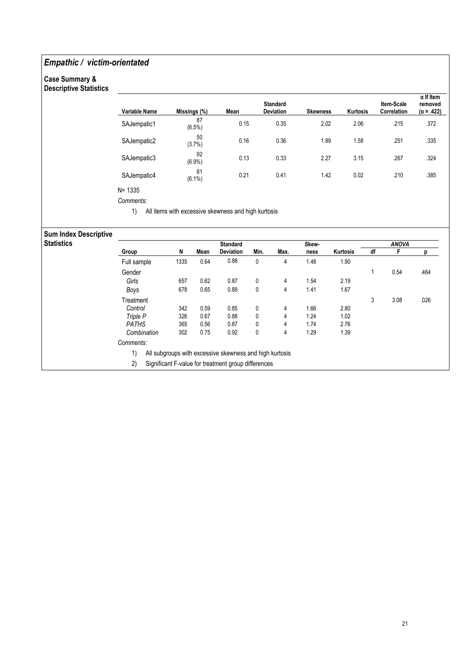### Empathic / victim-orientated

#### Case Summary & Descriptive Statistics

| Variable Name | Missings (%)    | <b>Mean</b> | <b>Standard</b><br><b>Deviation</b> | <b>Skewness</b> | <b>Kurtosis</b> | Item-Scale<br>Correlation | $\alpha$ If Item<br>removed<br>$(\alpha = .422)$ |
|---------------|-----------------|-------------|-------------------------------------|-----------------|-----------------|---------------------------|--------------------------------------------------|
| SAJempatic1   | 87<br>(6.5%)    | 0.15        | 0.35                                | 2.02            | 2.06            | .215                      | .372                                             |
| SAJempatic2   | 50<br>(3.7%)    | 0.16        | 0.36                                | 1.89            | 1.58            | .251                      | .335                                             |
| SAJempatic3   | 92<br>$(6.9\%)$ | 0.13        | 0.33                                | 2.27            | 3.15            | .267                      | .324                                             |
| SAJempatic4   | 81<br>$(6.1\%)$ | 0.21        | 0.41                                | 1.42            | 0.02            | .210                      | .385                                             |

Comments:

1) All items with excessive skewness and high kurtosis

### Sum Index Descriptive

| <b>Statistics</b> |              |      |      | <b>Standard</b>                                         |      |      | Skew- |          |    | <b>ANOVA</b> |      |
|-------------------|--------------|------|------|---------------------------------------------------------|------|------|-------|----------|----|--------------|------|
|                   | Group        | N    | Mean | <b>Deviation</b>                                        | Min. | Max. | ness  | Kurtosis | df |              |      |
|                   | Full sample  | 1335 | 0.64 | 0.88                                                    | 0    | 4    | 1.48  | 1.90     |    |              |      |
|                   | Gender       |      |      |                                                         |      |      |       |          |    | 0.54         | .464 |
|                   | Girls        | 657  | 0.62 | 0.87                                                    | 0    | 4    | 1.54  | 2.19     |    |              |      |
|                   | Boys         | 678  | 0.65 | 0.89                                                    | 0    | 4    | 1.41  | 1.67     |    |              |      |
|                   | Treatment    |      |      |                                                         |      |      |       |          | 3  | 3.08         | .026 |
|                   | Control      | 342  | 0.59 | 0.85                                                    | 0    | 4    | 1.66  | 2.80     |    |              |      |
|                   | Triple P     | 326  | 0.67 | 0.88                                                    | 0    | 4    | 1.24  | 1.02     |    |              |      |
|                   | <b>PATHS</b> | 365  | 0.56 | 0.87                                                    | 0    | 4    | 1.74  | 2.76     |    |              |      |
|                   | Combination  | 302  | 0.75 | 0.92                                                    | 0    | 4    | 1.29  | 1.39     |    |              |      |
|                   | Comments:    |      |      |                                                         |      |      |       |          |    |              |      |
|                   | 1)           |      |      | All subgroups with excessive skewness and high kurtosis |      |      |       |          |    |              |      |
|                   | 2)           |      |      | Significant F-value for treatment group differences     |      |      |       |          |    |              |      |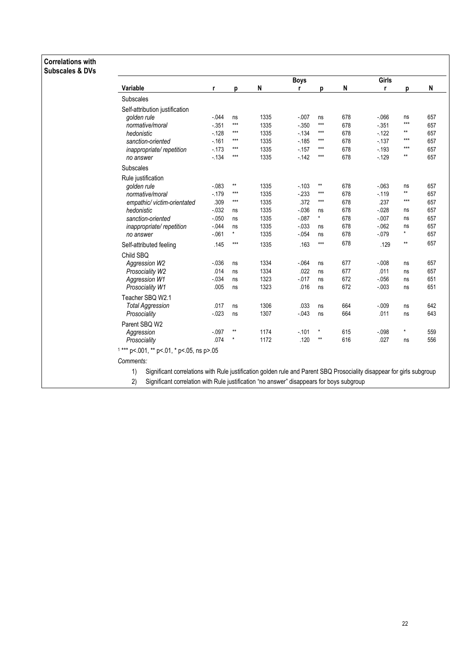### Correlations with Subscales & DVs

|                                            |          |                 |      | <b>Boys</b> |                 |     | Girls    |              |     |
|--------------------------------------------|----------|-----------------|------|-------------|-----------------|-----|----------|--------------|-----|
| <b>Variable</b>                            | r        | p               | N    | r           | p               | N   | r        | p            | N   |
| <b>Subscales</b>                           |          |                 |      |             |                 |     |          |              |     |
| Self-attribution justification             |          |                 |      |             |                 |     |          |              |     |
| golden rule                                | $-0.044$ | ns              | 1335 | $-007$      | ns              | 678 | $-066$   | ns           | 657 |
| normative/moral                            | $-351$   | $***$           | 1335 | $-0.350$    | $***$           | 678 | $-351$   | $***$        | 657 |
| hedonistic                                 | $-128$   | $***$           | 1335 | $-134$      | $***$           | 678 | $-122$   | $***$        | 657 |
| sanction-oriented                          | $-161$   | ***             | 1335 | $-185$      | ***             | 678 | $-137$   | $***$        | 657 |
| inappropriate/repetition                   | $-173$   | $***$           | 1335 | $-157$      | ***             | 678 | $-193$   | $***$        | 657 |
| no answer                                  | $-134$   | $***$           | 1335 | $-142$      | $***$           | 678 | $-129$   | $**$         | 657 |
| <b>Subscales</b>                           |          |                 |      |             |                 |     |          |              |     |
| Rule justification                         |          |                 |      |             |                 |     |          |              |     |
| golden rule                                | $-0.083$ | $^{\star\star}$ | 1335 | $-.103$     | $^{\star\star}$ | 678 | $-063$   | ns           | 657 |
| normative/moral                            | $-179$   | $***$           | 1335 | $-233$      | $***$           | 678 | $-119$   | $***$        | 657 |
| empathic/victim-orientated                 | .309     | $***$           | 1335 | .372        | $***$           | 678 | .237     | $***$        | 657 |
| hedonistic                                 | $-032$   | ns              | 1335 | $-0.36$     | ns              | 678 | $-028$   | ns           | 657 |
| sanction-oriented                          | $-.050$  | ns              | 1335 | $-0.087$    | $\star$         | 678 | $-.007$  | ns           | 657 |
| inappropriate/repetition                   | $-044$   | ns              | 1335 | $-0.033$    | ns              | 678 | $-062$   | ns           | 657 |
| no answer                                  | $-061$   | $\star$         | 1335 | $-0.054$    | ns              | 678 | $-079$   | $\star$      | 657 |
| Self-attributed feeling                    | .145     | $***$           | 1335 | .163        | $***$           | 678 | .129     | $\star\star$ | 657 |
| Child SBQ                                  |          |                 |      |             |                 |     |          |              |     |
| Aggression W2                              | $-0.36$  | ns              | 1334 | $-0.064$    | ns              | 677 | $-0.08$  | ns           | 657 |
| Prosociality W2                            | .014     | ns              | 1334 | .022        | ns              | 677 | .011     | ns           | 657 |
| Aggression W1                              | $-034$   | ns              | 1323 | $-0.017$    | ns              | 672 | $-0.056$ | ns           | 651 |
| Prosociality W1                            | .005     | ns              | 1323 | .016        | ns              | 672 | $-0.003$ | ns           | 651 |
| Teacher SBQ W2.1                           |          |                 |      |             |                 |     |          |              |     |
| <b>Total Aggression</b>                    | .017     | ns              | 1306 | .033        | ns              | 664 | $-0.09$  | ns           | 642 |
| Prosociality                               | $-023$   | ns              | 1307 | $-043$      | ns              | 664 | .011     | ns           | 643 |
| Parent SBQ W2                              |          |                 |      |             |                 |     |          |              |     |
| Aggression                                 | $-.097$  | $\star\star$    | 1174 | $-101$      | *               | 615 | $-0.098$ | $\star$      | 559 |
| Prosociality                               | .074     | $\star$         | 1172 | .120        | $\star\star$    | 616 | .027     | ns           | 556 |
| $1***$ p<.001, ** p<.01, * p<.05, ns p>.05 |          |                 |      |             |                 |     |          |              |     |
| Comments:                                  |          |                 |      |             |                 |     |          |              |     |

2) Significant correlation with Rule justification "no answer" disappears for boys subgroup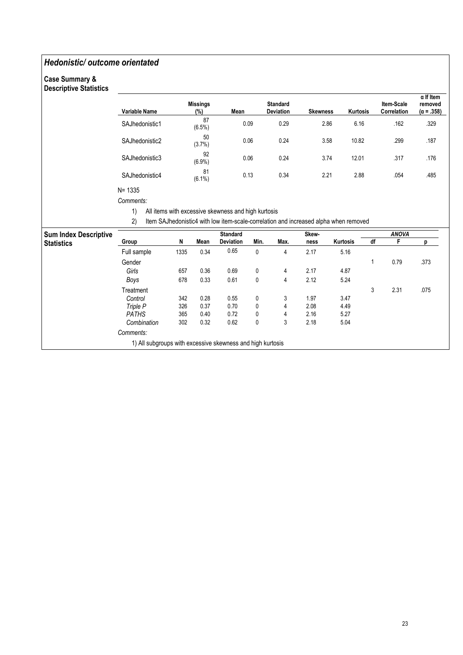### Hedonistic/ outcome orientated

#### Case Summary & Descriptive Statistics

| Descriptive Statistics       |                                                                                      |      |                                 |                                                     |              |                              |                 |          |          |                           |                                                  |  |  |
|------------------------------|--------------------------------------------------------------------------------------|------|---------------------------------|-----------------------------------------------------|--------------|------------------------------|-----------------|----------|----------|---------------------------|--------------------------------------------------|--|--|
|                              | Variable Name                                                                        |      | <b>Missings</b><br>(%)          | Mean                                                |              | <b>Standard</b><br>Deviation | <b>Skewness</b> |          | Kurtosis | Item-Scale<br>Correlation | $\alpha$ If Item<br>removed<br>$(\alpha = .358)$ |  |  |
|                              | SAJhedonistic1                                                                       |      | 87<br>$(6.5\%)$<br>50<br>(3.7%) |                                                     | 0.09         | 0.29                         |                 | 2.86     | 6.16     | .162                      | .329                                             |  |  |
|                              | SAJhedonistic2                                                                       |      |                                 |                                                     | 0.06         | 0.24                         | 3.58            |          | 10.82    | .299                      | .187                                             |  |  |
|                              | SAJhedonistic3                                                                       |      | 92<br>$(6.9\%)$                 |                                                     | 0.06         | 0.24                         | 3.74            |          | 12.01    | .317                      | .176                                             |  |  |
|                              | SAJhedonistic4                                                                       |      | 81<br>$(6.1\%)$                 | 0.13                                                |              | 0.34                         | 2.21            |          | 2.88     | .054                      | .485                                             |  |  |
|                              | $N = 1335$                                                                           |      |                                 |                                                     |              |                              |                 |          |          |                           |                                                  |  |  |
|                              | Comments:                                                                            |      |                                 |                                                     |              |                              |                 |          |          |                           |                                                  |  |  |
|                              | 1)                                                                                   |      |                                 | All items with excessive skewness and high kurtosis |              |                              |                 |          |          |                           |                                                  |  |  |
|                              | 2)                                                                                   |      |                                 |                                                     |              |                              |                 |          |          |                           |                                                  |  |  |
|                              | Item SAJhedonistic4 with low item-scale-correlation and increased alpha when removed |      |                                 |                                                     |              |                              |                 |          |          |                           |                                                  |  |  |
| <b>Sum Index Descriptive</b> |                                                                                      |      |                                 | <b>Standard</b>                                     |              |                              | Skew-           |          |          | <b>ANOVA</b>              |                                                  |  |  |
| Statistics                   | Group                                                                                | N    | Mean                            | Deviation                                           | Min.         | Max.                         | ness            | Kurtosis | df       | F                         | p                                                |  |  |
|                              | Full sample                                                                          | 1335 | 0.34                            | 0.65                                                | 0            | 4                            | 2.17            | 5.16     |          |                           |                                                  |  |  |
|                              | Gender                                                                               |      |                                 |                                                     |              |                              |                 |          | 1        | 0.79                      | .373                                             |  |  |
|                              | Girls                                                                                | 657  | 0.36                            | 0.69                                                | 0            | 4                            | 2.17            | 4.87     |          |                           |                                                  |  |  |
|                              | Boys                                                                                 | 678  | 0.33                            | 0.61                                                | $\mathbf{0}$ | 4                            | 2.12            | 5.24     |          |                           |                                                  |  |  |
|                              | Treatment                                                                            |      |                                 |                                                     |              |                              |                 |          | 3        | 2.31                      | .075                                             |  |  |
|                              | Control                                                                              | 342  | 0.28                            | 0.55                                                | 0            | 3                            | 1.97            | 3.47     |          |                           |                                                  |  |  |
|                              | Triple P                                                                             | 326  | 0.37                            | 0.70                                                | 0            | 4                            | 2.08            | 4.49     |          |                           |                                                  |  |  |
|                              | <b>PATHS</b>                                                                         | 365  | 0.40                            | 0.72                                                | 0            | 4                            | 2.16            | 5.27     |          |                           |                                                  |  |  |
|                              | Combination                                                                          | 302  | 0.32                            | 0.62                                                | 0            | 3                            | 2.18            | 5.04     |          |                           |                                                  |  |  |
|                              | Comments:                                                                            |      |                                 |                                                     |              |                              |                 |          |          |                           |                                                  |  |  |
|                              | 1) All subgroups with excessive skewness and high kurtosis                           |      |                                 |                                                     |              |                              |                 |          |          |                           |                                                  |  |  |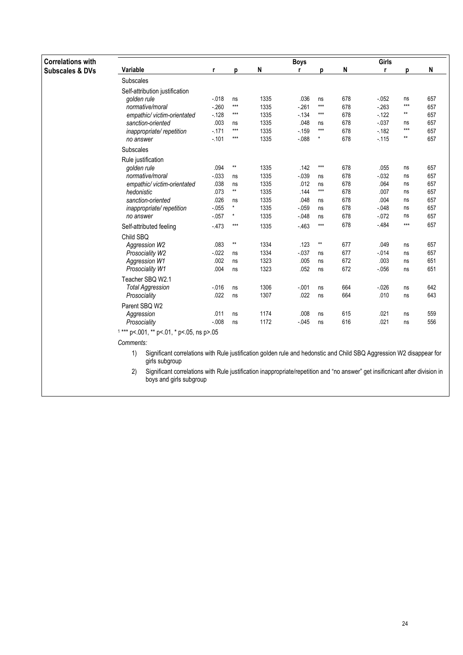| <b>Correlations with</b>   |                                                                                                                                                                |         |                 |      | <b>Boys</b> |                 |     | Girls    |              |     |
|----------------------------|----------------------------------------------------------------------------------------------------------------------------------------------------------------|---------|-----------------|------|-------------|-----------------|-----|----------|--------------|-----|
| <b>Subscales &amp; DVs</b> | Variable                                                                                                                                                       | r       | p               | N    | r           | D               | N   | r        | p            | N   |
|                            | <b>Subscales</b>                                                                                                                                               |         |                 |      |             |                 |     |          |              |     |
|                            | Self-attribution justification                                                                                                                                 |         |                 |      |             |                 |     |          |              |     |
|                            | golden rule                                                                                                                                                    | $-018$  | ns              | 1335 | .036        | ns              | 678 | $-052$   | ns           | 657 |
|                            | normative/moral                                                                                                                                                | $-260$  | $***$           | 1335 | $-261$      | $***$           | 678 | $-263$   | $***$        | 657 |
|                            | empathic/ victim-orientated                                                                                                                                    | $-128$  | $***$           | 1335 | $-134$      | $***$           | 678 | $-122$   | $\star\star$ | 657 |
|                            | sanction-oriented                                                                                                                                              | .003    | ns              | 1335 | .048        | ns              | 678 | $-0.37$  | ns           | 657 |
|                            | inappropriate/repetition                                                                                                                                       | $-171$  | $***$           | 1335 | $-159$      | $***$           | 678 | $-182$   | $***$        | 657 |
|                            | no answer                                                                                                                                                      | $-.101$ | $***$           | 1335 | $-0.088$    | $\star$         | 678 | $-115$   | $***$        | 657 |
|                            | Subscales                                                                                                                                                      |         |                 |      |             |                 |     |          |              |     |
|                            | Rule justification                                                                                                                                             |         |                 |      |             |                 |     |          |              |     |
|                            | golden rule                                                                                                                                                    | .094    | $^{\star\star}$ | 1335 | .142        | $***$           | 678 | .055     | ns           | 657 |
|                            | normative/moral                                                                                                                                                | $-033$  | ns              | 1335 | $-039$      | ns              | 678 | $-0.032$ | ns           | 657 |
|                            | empathic/victim-orientated                                                                                                                                     | .038    | ns              | 1335 | .012        | ns              | 678 | .064     | ns           | 657 |
|                            | hedonistic                                                                                                                                                     | .073    | $\star\star$    | 1335 | .144        | $***$           | 678 | .007     | ns           | 657 |
|                            | sanction-oriented                                                                                                                                              | .026    | ns              | 1335 | .048        | ns              | 678 | .004     | ns           | 657 |
|                            | inappropriate/repetition                                                                                                                                       | $-055$  | $\star$         | 1335 | $-059$      | ns              | 678 | $-0.048$ | ns           | 657 |
|                            | no answer                                                                                                                                                      | $-057$  | $\pmb{\star}$   | 1335 | $-048$      | ns              | 678 | $-072$   | ns           | 657 |
|                            | Self-attributed feeling                                                                                                                                        | $-473$  | $***$           | 1335 | $-463$      | $***$           | 678 | $-484$   | $***$        | 657 |
|                            | Child SBQ                                                                                                                                                      |         |                 |      |             |                 |     |          |              |     |
|                            | Aggression W2                                                                                                                                                  | .083    | $\star\star$    | 1334 | .123        | $^{\star\star}$ | 677 | .049     | ns           | 657 |
|                            | Prosociality W2                                                                                                                                                | $-022$  | ns              | 1334 | $-0.37$     | ns              | 677 | $-014$   | ns           | 657 |
|                            | <b>Aggression W1</b>                                                                                                                                           | .002    | ns              | 1323 | .005        | ns              | 672 | .003     | ns           | 651 |
|                            | Prosociality W1                                                                                                                                                | .004    | ns              | 1323 | .052        | ns              | 672 | $-056$   | ns           | 651 |
|                            | Teacher SBQ W2.1                                                                                                                                               |         |                 |      |             |                 |     |          |              |     |
|                            | <b>Total Aggression</b>                                                                                                                                        | $-016$  | ns              | 1306 | $-001$      | ns              | 664 | $-026$   | ns           | 642 |
|                            | Prosociality                                                                                                                                                   | .022    | ns              | 1307 | .022        | ns              | 664 | .010     | ns           | 643 |
|                            | Parent SBQ W2                                                                                                                                                  |         |                 |      |             |                 |     |          |              |     |
|                            | Aggression                                                                                                                                                     | .011    | ns              | 1174 | .008        | ns              | 615 | .021     | ns           | 559 |
|                            | Prosociality                                                                                                                                                   | $-0.08$ | ns              | 1172 | $-0.045$    | ns              | 616 | .021     | ns           | 556 |
|                            | $1***$ p<.001, ** p<.01, * p<.05, ns p>.05                                                                                                                     |         |                 |      |             |                 |     |          |              |     |
|                            | Comments:                                                                                                                                                      |         |                 |      |             |                 |     |          |              |     |
|                            | Significant correlations with Rule justification golden rule and hedonstic and Child SBQ Aggression W2 disappear for<br>1)<br>girls subgroup                   |         |                 |      |             |                 |     |          |              |     |
|                            | 2)<br>Significant correlations with Rule justification inappropriate/repetition and "no answer" get insificnicant after division in<br>boys and girls subgroup |         |                 |      |             |                 |     |          |              |     |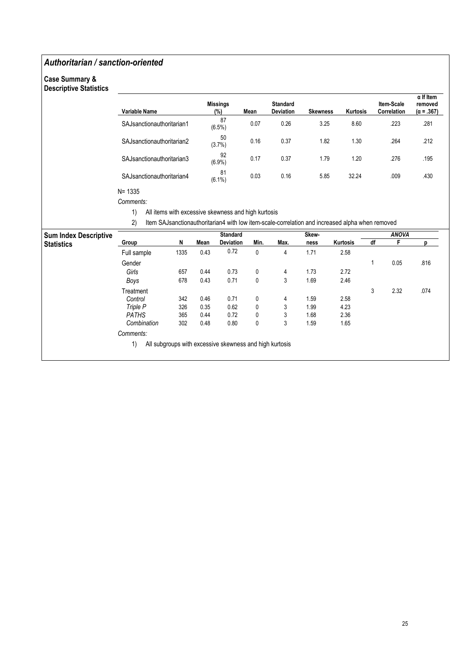### Authoritarian / sanction-oriented

#### Case Summary & Descriptive Statistics

| Variable Name                | <b>Missings</b><br>(%) | Mean | <b>Standard</b><br><b>Deviation</b> | <b>Skewness</b> | Kurtosis | <b>Item-Scale</b><br>Correlation | $\alpha$ If Item<br>removed<br>$(\alpha = .367)$ |
|------------------------------|------------------------|------|-------------------------------------|-----------------|----------|----------------------------------|--------------------------------------------------|
| SAJsanctionauthoritarian1    | 87<br>$(6.5\%)$        | 0.07 | 0.26                                | 3.25            | 8.60     | .223                             | .281                                             |
| SAJsanctionauthoritarian2    | 50<br>(3.7%)           | 0.16 | 0.37                                | 1.82            | 1.30     | .264                             | .212                                             |
| SAJ sanction authoritarian 3 | 92<br>$(6.9\%)$        | 0.17 | 0.37                                | 1.79            | 1.20     | .276                             | .195                                             |
| SAJ sanctionauthoritarian4   | 81<br>$(6.1\%)$        | 0.03 | 0.16                                | 5.85            | 32.24    | .009                             | .430                                             |

N= 1335

Comments:

1) All items with excessive skewness and high kurtosis

2) Item SAJsanctionauthoritarian4 with low item-scale-correlation and increased alpha when removed

| <b>Sum Index Descriptive</b> |              |      |      | <b>Standard</b>                                         |      |      | Skew- |          |    | <b>ANOVA</b> |      |
|------------------------------|--------------|------|------|---------------------------------------------------------|------|------|-------|----------|----|--------------|------|
| <b>Statistics</b>            | Group        | N    | Mean | <b>Deviation</b>                                        | Min. | Max. | ness  | Kurtosis | df | F            | n    |
|                              | Full sample  | 1335 | 0.43 | 0.72                                                    | 0    | 4    | 1.71  | 2.58     |    |              |      |
|                              | Gender       |      |      |                                                         |      |      |       |          |    | 0.05         | .816 |
|                              | Girls        | 657  | 0.44 | 0.73                                                    | 0    | 4    | 1.73  | 2.72     |    |              |      |
|                              | Boys         | 678  | 0.43 | 0.71                                                    | 0    | 3    | 1.69  | 2.46     |    |              |      |
|                              | Treatment    |      |      |                                                         |      |      |       |          | 3  | 2.32         | .074 |
|                              | Control      | 342  | 0.46 | 0.71                                                    | 0    | 4    | 1.59  | 2.58     |    |              |      |
|                              | Triple P     | 326  | 0.35 | 0.62                                                    | 0    | 3    | 1.99  | 4.23     |    |              |      |
|                              | <b>PATHS</b> | 365  | 0.44 | 0.72                                                    | 0    | 3    | 1.68  | 2.36     |    |              |      |
|                              | Combination  | 302  | 0.48 | 0.80                                                    | 0    | 3    | 1.59  | 1.65     |    |              |      |
|                              | Comments:    |      |      |                                                         |      |      |       |          |    |              |      |
|                              | 1)           |      |      | All subgroups with excessive skewness and high kurtosis |      |      |       |          |    |              |      |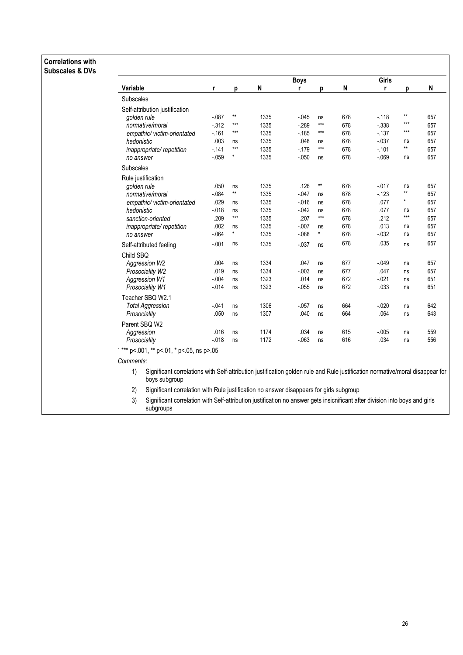#### **Correlations with Subscales & DVs**

|                                |          |              |      | <b>Boys</b> |         |     | Girls    |              |     |
|--------------------------------|----------|--------------|------|-------------|---------|-----|----------|--------------|-----|
| <b>Variable</b>                | r        | p            | N    | r           | p       | N   | r        | р            | N   |
| <b>Subscales</b>               |          |              |      |             |         |     |          |              |     |
| Self-attribution justification |          |              |      |             |         |     |          |              |     |
| aolden rule                    | $-.087$  | $\star\star$ | 1335 | $-0.045$    | ns      | 678 | $-118$   | **           | 657 |
| normative/moral                | $-312$   | $***$        | 1335 | $-289$      | $***$   | 678 | $-338$   | ***          | 657 |
| empathic/victim-orientated     | $-161$   | $***$        | 1335 | $-185$      | $***$   | 678 | $-137$   | ***          | 657 |
| hedonistic                     | .003     | ns           | 1335 | .048        | ns      | 678 | $-0.037$ | ns           | 657 |
| inappropriate/repetition       | $-141$   | $***$        | 1335 | $-179$      | $***$   | 678 | $-0.101$ | $\star\star$ | 657 |
| no answer                      | $-0.59$  | *            | 1335 | $-0.050$    | ns      | 678 | $-069$   | ns           | 657 |
| Subscales                      |          |              |      |             |         |     |          |              |     |
| Rule justification             |          |              |      |             |         |     |          |              |     |
| golden rule                    | .050     | ns           | 1335 | .126        | $**$    | 678 | $-0.017$ | ns           | 657 |
| normative/moral                | $-0.084$ | $**$         | 1335 | $-0.047$    | ns      | 678 | $-123$   | **           | 657 |
| empathic/victim-orientated     | .029     | ns           | 1335 | $-0.016$    | ns      | 678 | .077     | ×            | 657 |
| hedonistic                     | $-0.018$ | ns           | 1335 | $-0.042$    | ns      | 678 | .077     | ns           | 657 |
| sanction-oriented              | .209     | $***$        | 1335 | .207        | $***$   | 678 | .212     | $***$        | 657 |
| inappropriate/repetition       | .002     | ns           | 1335 | $-.007$     | ns      | 678 | .013     | ns           | 657 |
| no answer                      | $-064$   | $\star$      | 1335 | $-0.088$    | $\star$ | 678 | $-0.032$ | ns           | 657 |
| Self-attributed feeling        | $-.001$  | ns           | 1335 | $-0.037$    | ns      | 678 | .035     | ns           | 657 |
| Child SBQ                      |          |              |      |             |         |     |          |              |     |
| Aggression W2                  | .004     | ns           | 1334 | .047        | ns      | 677 | $-0.049$ | ns           | 657 |
| Prosociality W2                | .019     | ns           | 1334 | $-.003$     | ns      | 677 | .047     | ns           | 657 |
| Aggression W1                  | $-004$   | ns           | 1323 | .014        | ns      | 672 | $-021$   | ns           | 651 |
| Prosociality W1                | $-0.014$ | ns           | 1323 | $-0.055$    | ns      | 672 | .033     | ns           | 651 |
| Teacher SBO W2.1               |          |              |      |             |         |     |          |              |     |
| <b>Total Aggression</b>        | $-.041$  | ns           | 1306 | $-0.057$    | ns      | 664 | $-0.020$ | ns           | 642 |
| Prosociality                   | .050     | ns           | 1307 | .040        | ns      | 664 | .064     | ns           | 643 |
| Parent SBQ W2                  |          |              |      |             |         |     |          |              |     |
| Aggression                     | .016     | ns           | 1174 | .034        | ns      | 615 | $-0.005$ | ns           | 559 |
| Prosociality                   | $-018$   | ns           | 1172 | $-063$      | ns      | 616 | .034     | ns           | 556 |

Comments:

Significant correlations with Self-attribution justification golden rule and Rule justification normative/moral disappear for  $1)$ boys subgroup

2) Significant correlation with Rule justification no answer disappears for girls subgroup

 $3)$ Significant correlation with Self-attribution justification no answer gets insicnificant after division into boys and girls subgroups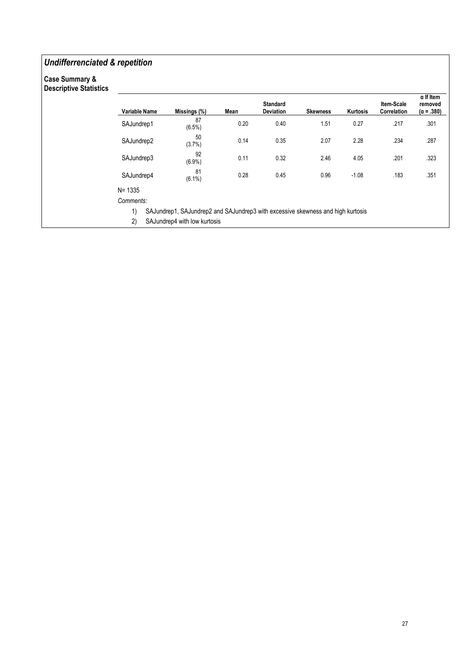### Undifferrenciated & repetition

#### Case Summary & Descriptive Statistics

| Descriptive Statistics |               |                                                                                 |      |                                     |                 |                 |                           |                                                  |
|------------------------|---------------|---------------------------------------------------------------------------------|------|-------------------------------------|-----------------|-----------------|---------------------------|--------------------------------------------------|
|                        | Variable Name | Missings (%)                                                                    | Mean | <b>Standard</b><br><b>Deviation</b> | <b>Skewness</b> | <b>Kurtosis</b> | Item-Scale<br>Correlation | $\alpha$ If Item<br>removed<br>$(\alpha = .380)$ |
|                        | SAJundrep1    | 87<br>(6.5%)                                                                    | 0.20 | 0.40                                | 1.51            | 0.27            | .217                      | .301                                             |
|                        | SAJundrep2    | 50<br>(3.7%)                                                                    | 0.14 | 0.35                                | 2.07            | 2.28            | .234                      | .287                                             |
|                        | SAJundrep3    | 92<br>(6.9%)                                                                    | 0.11 | 0.32                                | 2.46            | 4.05            | .201                      | .323                                             |
|                        | SAJundrep4    | 81<br>$(6.1\%)$                                                                 | 0.28 | 0.45                                | 0.96            | $-1.08$         | .183                      | .351                                             |
|                        | $N = 1335$    |                                                                                 |      |                                     |                 |                 |                           |                                                  |
|                        | Comments:     |                                                                                 |      |                                     |                 |                 |                           |                                                  |
|                        | 1)            | SAJundrep1, SAJundrep2 and SAJundrep3 with excessive skewness and high kurtosis |      |                                     |                 |                 |                           |                                                  |
|                        | 2)            | SAJundrep4 with low kurtosis                                                    |      |                                     |                 |                 |                           |                                                  |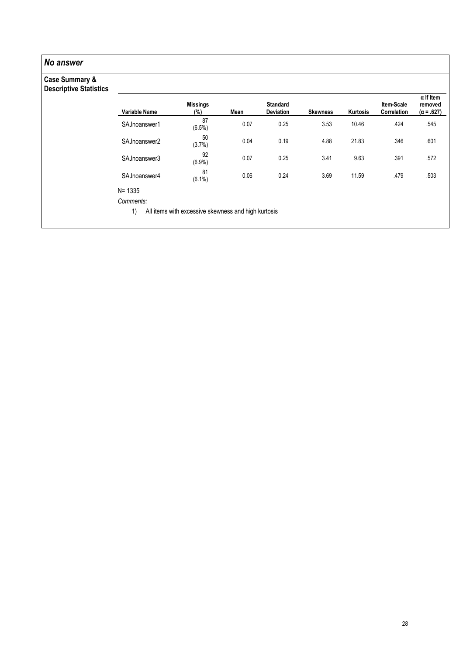| No answer                                                  |                                                |                                                     |      |                              |                 |          |                           |                                                  |
|------------------------------------------------------------|------------------------------------------------|-----------------------------------------------------|------|------------------------------|-----------------|----------|---------------------------|--------------------------------------------------|
| <b>Case Summary &amp;</b><br><b>Descriptive Statistics</b> |                                                |                                                     |      |                              |                 |          |                           |                                                  |
|                                                            | <b>Variable Name</b>                           | <b>Missings</b><br>$(\%)$                           | Mean | <b>Standard</b><br>Deviation | <b>Skewness</b> | Kurtosis | Item-Scale<br>Correlation | $\alpha$ If Item<br>removed<br>$(\alpha = .627)$ |
|                                                            | SAJnoanswer1                                   | 87<br>(6.5%)                                        | 0.07 | 0.25                         | 3.53            | 10.46    | .424                      | .545                                             |
|                                                            | SAJnoanswer2                                   | 50<br>(3.7%)                                        | 0.04 | 0.19                         | 4.88            | 21.83    | .346                      | .601                                             |
|                                                            | SAJnoanswer3                                   | 92<br>$(6.9\%)$                                     | 0.07 | 0.25                         | 3.41            | 9.63     | .391                      | .572                                             |
|                                                            | SAJnoanswer4                                   | 81<br>$(6.1\%)$                                     | 0.06 | 0.24                         | 3.69            | 11.59    | .479                      | .503                                             |
|                                                            | $N = 1335$                                     |                                                     |      |                              |                 |          |                           |                                                  |
|                                                            | Comments:                                      |                                                     |      |                              |                 |          |                           |                                                  |
|                                                            | $\left( \begin{matrix} 1 \end{matrix} \right)$ | All items with excessive skewness and high kurtosis |      |                              |                 |          |                           |                                                  |